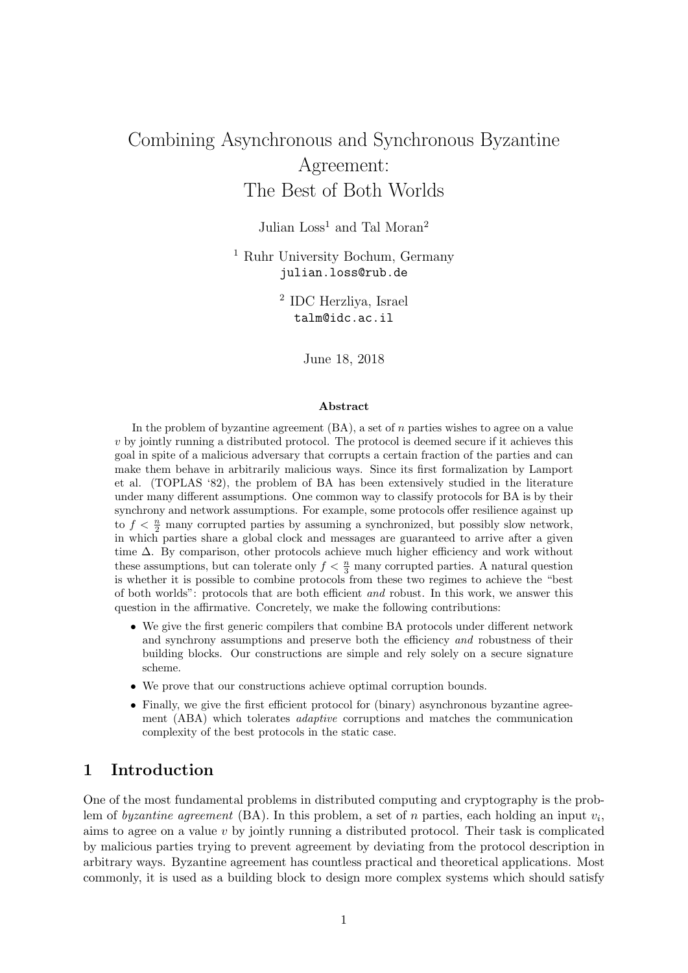# Combining Asynchronous and Synchronous Byzantine Agreement: The Best of Both Worlds

Julian  $Loss<sup>1</sup>$  and Tal Moran<sup>2</sup>

<sup>1</sup> Ruhr University Bochum, Germany julian.loss@rub.de

> 2 IDC Herzliya, Israel talm@idc.ac.il

> > June 18, 2018

#### Abstract

In the problem of byzantine agreement  $(BA)$ , a set of n parties wishes to agree on a value v by jointly running a distributed protocol. The protocol is deemed secure if it achieves this goal in spite of a malicious adversary that corrupts a certain fraction of the parties and can make them behave in arbitrarily malicious ways. Since its first formalization by Lamport et al. (TOPLAS '82), the problem of BA has been extensively studied in the literature under many different assumptions. One common way to classify protocols for BA is by their synchrony and network assumptions. For example, some protocols offer resilience against up to  $f < \frac{n}{2}$  many corrupted parties by assuming a synchronized, but possibly slow network, in which parties share a global clock and messages are guaranteed to arrive after a given time  $\Delta$ . By comparison, other protocols achieve much higher efficiency and work without these assumptions, but can tolerate only  $f < \frac{n}{3}$  many corrupted parties. A natural question is whether it is possible to combine protocols from these two regimes to achieve the "best of both worlds": protocols that are both efficient and robust. In this work, we answer this question in the affirmative. Concretely, we make the following contributions:

- We give the first generic compilers that combine BA protocols under different network and synchrony assumptions and preserve both the efficiency and robustness of their building blocks. Our constructions are simple and rely solely on a secure signature scheme.
- We prove that our constructions achieve optimal corruption bounds.
- Finally, we give the first efficient protocol for (binary) asynchronous byzantine agreement (ABA) which tolerates adaptive corruptions and matches the communication complexity of the best protocols in the static case.

# 1 Introduction

One of the most fundamental problems in distributed computing and cryptography is the problem of byzantine agreement (BA). In this problem, a set of n parties, each holding an input  $v_i$ , aims to agree on a value  $v$  by jointly running a distributed protocol. Their task is complicated by malicious parties trying to prevent agreement by deviating from the protocol description in arbitrary ways. Byzantine agreement has countless practical and theoretical applications. Most commonly, it is used as a building block to design more complex systems which should satisfy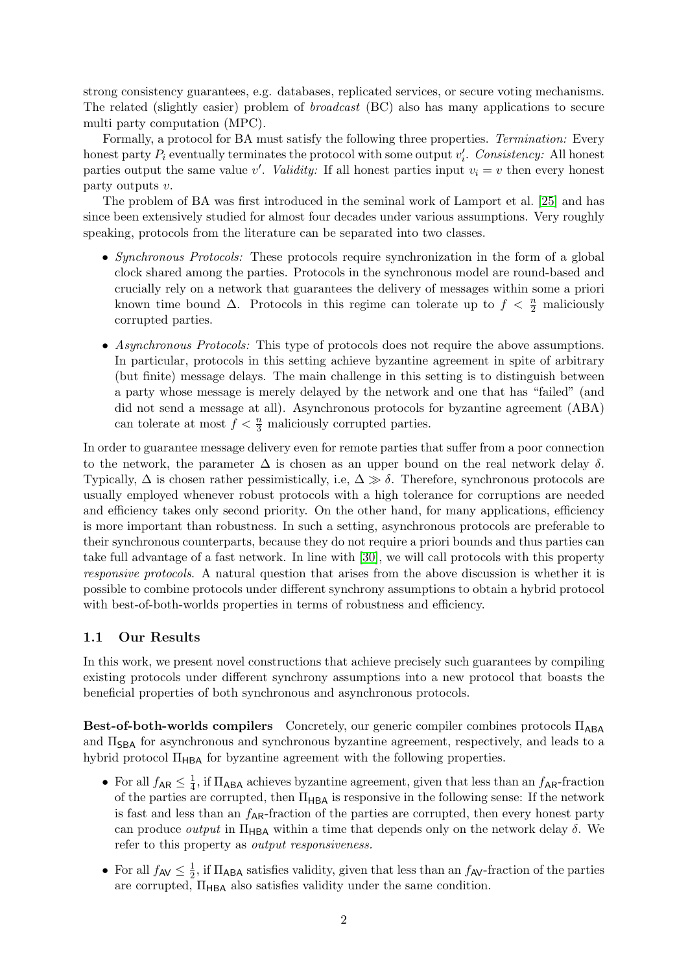strong consistency guarantees, e.g. databases, replicated services, or secure voting mechanisms. The related (slightly easier) problem of broadcast (BC) also has many applications to secure multi party computation (MPC).

Formally, a protocol for BA must satisfy the following three properties. Termination: Every honest party  $P_i$  eventually terminates the protocol with some output  $v_i'$ . Consistency: All honest parties output the same value v'. Validity: If all honest parties input  $v_i = v$  then every honest party outputs v.

The problem of BA was first introduced in the seminal work of Lamport et al. [\[25\]](#page-27-0) and has since been extensively studied for almost four decades under various assumptions. Very roughly speaking, protocols from the literature can be separated into two classes.

- Synchronous Protocols: These protocols require synchronization in the form of a global clock shared among the parties. Protocols in the synchronous model are round-based and crucially rely on a network that guarantees the delivery of messages within some a priori known time bound  $\Delta$ . Protocols in this regime can tolerate up to  $f < \frac{n}{2}$  maliciously corrupted parties.
- Asynchronous Protocols: This type of protocols does not require the above assumptions. In particular, protocols in this setting achieve byzantine agreement in spite of arbitrary (but finite) message delays. The main challenge in this setting is to distinguish between a party whose message is merely delayed by the network and one that has "failed" (and did not send a message at all). Asynchronous protocols for byzantine agreement (ABA) can tolerate at most  $f < \frac{n}{3}$  maliciously corrupted parties.

In order to guarantee message delivery even for remote parties that suffer from a poor connection to the network, the parameter  $\Delta$  is chosen as an upper bound on the real network delay  $\delta$ . Typically,  $\Delta$  is chosen rather pessimistically, i.e,  $\Delta \gg \delta$ . Therefore, synchronous protocols are usually employed whenever robust protocols with a high tolerance for corruptions are needed and efficiency takes only second priority. On the other hand, for many applications, efficiency is more important than robustness. In such a setting, asynchronous protocols are preferable to their synchronous counterparts, because they do not require a priori bounds and thus parties can take full advantage of a fast network. In line with [\[30\]](#page-28-0), we will call protocols with this property responsive protocols. A natural question that arises from the above discussion is whether it is possible to combine protocols under different synchrony assumptions to obtain a hybrid protocol with best-of-both-worlds properties in terms of robustness and efficiency.

### 1.1 Our Results

In this work, we present novel constructions that achieve precisely such guarantees by compiling existing protocols under different synchrony assumptions into a new protocol that boasts the beneficial properties of both synchronous and asynchronous protocols.

Best-of-both-worlds compilers Concretely, our generic compiler combines protocols Π<sub>ABA</sub> and  $\Pi_{\text{SBA}}$  for asynchronous and synchronous byzantine agreement, respectively, and leads to a hybrid protocol  $\Pi_{\text{HBA}}$  for byzantine agreement with the following properties.

- For all  $f_{AR} \leq \frac{1}{4}$  $\frac{1}{4}$ , if  $\Pi_{\mathsf{ABA}}$  achieves byzantine agreement, given that less than an  $f_{\mathsf{AR}}$ -fraction of the parties are corrupted, then  $\Pi_{\mathsf{HBA}}$  is responsive in the following sense: If the network is fast and less than an  $f_{AR}$ -fraction of the parties are corrupted, then every honest party can produce *output* in  $\Pi_{\text{HBA}}$  within a time that depends only on the network delay  $\delta$ . We refer to this property as output responsiveness.
- For all  $f_{AV} \leq \frac{1}{2}$  $\frac{1}{2}$ , if  $\Pi_{\mathsf{ABA}}$  satisfies validity, given that less than an  $f_{\mathsf{AV}}$ -fraction of the parties are corrupted,  $\Pi_{\mathsf{HBA}}$  also satisfies validity under the same condition.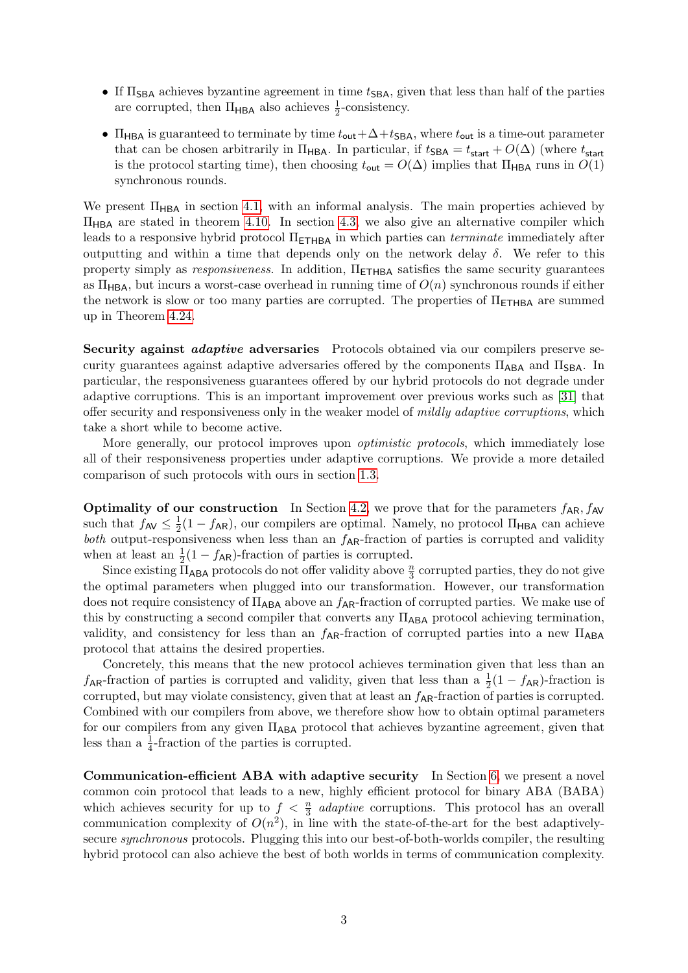- If  $\Pi_{\text{SBA}}$  achieves byzantine agreement in time  $t_{\text{SBA}}$ , given that less than half of the parties are corrupted, then  $\Pi_{\mathsf{HBA}}$  also achieves  $\frac{1}{2}$ -consistency.
- $\Pi_{\text{HBA}}$  is guaranteed to terminate by time  $t_{\text{out}}+\Delta+t_{\text{SBA}}$ , where  $t_{\text{out}}$  is a time-out parameter that can be chosen arbitrarily in  $\Pi_{\text{HBA}}$ . In particular, if  $t_{\text{SBA}} = t_{\text{start}} + O(\Delta)$  (where  $t_{\text{start}}$ ) is the protocol starting time), then choosing  $t_{\text{out}} = O(\Delta)$  implies that  $\Pi_{\text{HBA}}$  runs in  $O(1)$ synchronous rounds.

We present  $\Pi_{\text{HBA}}$  in section [4.1,](#page-8-0) with an informal analysis. The main properties achieved by  $\Pi_{\rm HBA}$  are stated in theorem [4.10.](#page-12-0) In section [4.3,](#page-16-0) we also give an alternative compiler which leads to a responsive hybrid protocol  $\Pi$ <sub>ETHBA</sub> in which parties can *terminate* immediately after outputting and within a time that depends only on the network delay  $\delta$ . We refer to this property simply as responsiveness. In addition,  $\Pi$ <sub>ETHBA</sub> satisfies the same security guarantees as  $\Pi_{\text{HBA}}$ , but incurs a worst-case overhead in running time of  $O(n)$  synchronous rounds if either the network is slow or too many parties are corrupted. The properties of  $\Pi$ <sub>ETHBA</sub> are summed up in Theorem [4.24.](#page-19-0)

Security against *adaptive* adversaries Protocols obtained via our compilers preserve security guarantees against adaptive adversaries offered by the components  $\Pi_{AB}$  and  $\Pi_{SB}$ . In particular, the responsiveness guarantees offered by our hybrid protocols do not degrade under adaptive corruptions. This is an important improvement over previous works such as [\[31\]](#page-28-1) that offer security and responsiveness only in the weaker model of mildly adaptive corruptions, which take a short while to become active.

More generally, our protocol improves upon *optimistic protocols*, which immediately lose all of their responsiveness properties under adaptive corruptions. We provide a more detailed comparison of such protocols with ours in section [1.3.](#page-4-0)

**Optimality of our construction** In Section [4.2,](#page-13-0) we prove that for the parameters  $f_{AR}$ ,  $f_{AV}$ such that  $f_{AV} \leq \frac{1}{2}$  $\frac{1}{2}(1-f_{AR})$ , our compilers are optimal. Namely, no protocol  $\Pi_{HBA}$  can achieve both output-responsiveness when less than an  $f_{AR}$ -fraction of parties is corrupted and validity when at least an  $\frac{1}{2}(1 - f_{AR})$ -fraction of parties is corrupted.

Since existing  $\overline{\Pi}_{ABA}$  protocols do not offer validity above  $\frac{n}{3}$  corrupted parties, they do not give the optimal parameters when plugged into our transformation. However, our transformation does not require consistency of  $\Pi_{\mathsf{ABA}}$  above an  $f_{\mathsf{AR}}$ -fraction of corrupted parties. We make use of this by constructing a second compiler that converts any  $\Pi_{ABA}$  protocol achieving termination, validity, and consistency for less than an  $f_{AR}$ -fraction of corrupted parties into a new  $\Pi_{ABA}$ protocol that attains the desired properties.

Concretely, this means that the new protocol achieves termination given that less than an  $f_{AR}$ -fraction of parties is corrupted and validity, given that less than a  $\frac{1}{2}(1 - f_{AR})$ -fraction is corrupted, but may violate consistency, given that at least an  $f_{AR}$ -fraction of parties is corrupted. Combined with our compilers from above, we therefore show how to obtain optimal parameters for our compilers from any given  $\Pi_{\text{ABA}}$  protocol that achieves byzantine agreement, given that less than a  $\frac{1}{4}$ -fraction of the parties is corrupted.

Communication-efficient ABA with adaptive security In Section [6,](#page-21-0) we present a novel common coin protocol that leads to a new, highly efficient protocol for binary ABA (BABA) which achieves security for up to  $f < \frac{n}{3}$  adaptive corruptions. This protocol has an overall communication complexity of  $O(n^2)$ , in line with the state-of-the-art for the best adaptivelysecure synchronous protocols. Plugging this into our best-of-both-worlds compiler, the resulting hybrid protocol can also achieve the best of both worlds in terms of communication complexity.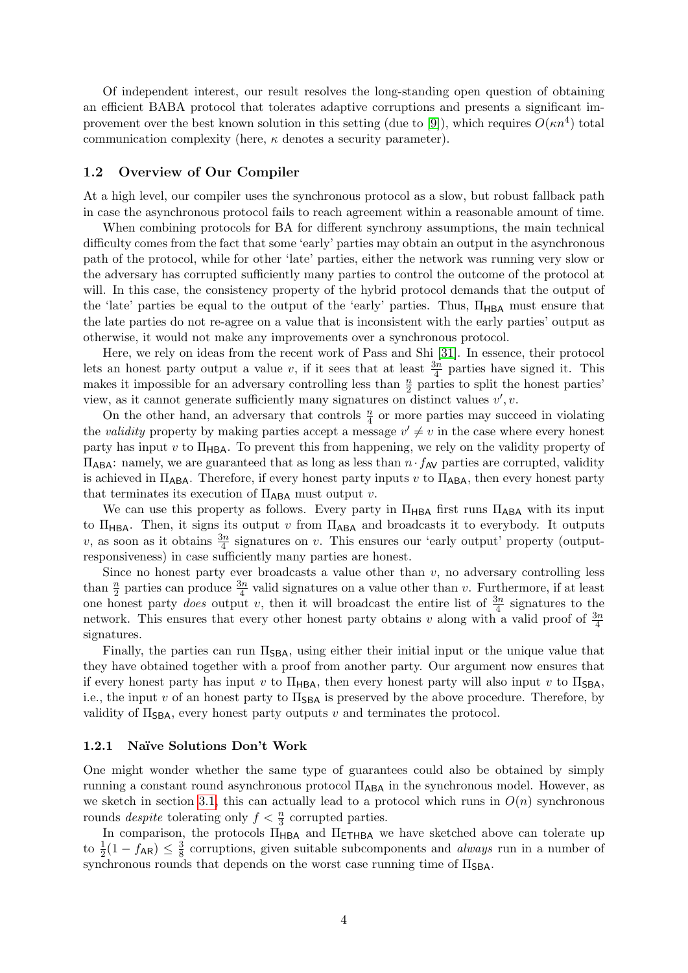Of independent interest, our result resolves the long-standing open question of obtaining an efficient BABA protocol that tolerates adaptive corruptions and presents a significant im-provement over the best known solution in this setting (due to [\[9\]](#page-27-1)), which requires  $O(\kappa n^4)$  total communication complexity (here,  $\kappa$  denotes a security parameter).

#### 1.2 Overview of Our Compiler

At a high level, our compiler uses the synchronous protocol as a slow, but robust fallback path in case the asynchronous protocol fails to reach agreement within a reasonable amount of time.

When combining protocols for BA for different synchrony assumptions, the main technical difficulty comes from the fact that some 'early' parties may obtain an output in the asynchronous path of the protocol, while for other 'late' parties, either the network was running very slow or the adversary has corrupted sufficiently many parties to control the outcome of the protocol at will. In this case, the consistency property of the hybrid protocol demands that the output of the 'late' parties be equal to the output of the 'early' parties. Thus,  $\Pi_{\mathsf{HBA}}$  must ensure that the late parties do not re-agree on a value that is inconsistent with the early parties' output as otherwise, it would not make any improvements over a synchronous protocol.

Here, we rely on ideas from the recent work of Pass and Shi [\[31\]](#page-28-1). In essence, their protocol lets an honest party output a value v, if it sees that at least  $\frac{3n}{4}$  parties have signed it. This makes it impossible for an adversary controlling less than  $\frac{n}{2}$  parties to split the honest parties' view, as it cannot generate sufficiently many signatures on distinct values  $v', v$ .

On the other hand, an adversary that controls  $\frac{n}{4}$  or more parties may succeed in violating the validity property by making parties accept a message  $v' \neq v$  in the case where every honest party has input v to  $\Pi_{\text{HBA}}$ . To prevent this from happening, we rely on the validity property of  $\Pi_{\mathsf{ABA}}$ : namely, we are guaranteed that as long as less than  $n \cdot f_{\mathsf{AV}}$  parties are corrupted, validity is achieved in  $\Pi_{\mathsf{ABA}}$ . Therefore, if every honest party inputs v to  $\Pi_{\mathsf{ABA}}$ , then every honest party that terminates its execution of  $\Pi_{\mathsf{ABA}}$  must output v.

We can use this property as follows. Every party in  $\Pi_{HBA}$  first runs  $\Pi_{ABA}$  with its input to  $\Pi_{\mathsf{HBA}}$ . Then, it signs its output v from  $\Pi_{\mathsf{ABA}}$  and broadcasts it to everybody. It outputs v, as soon as it obtains  $\frac{3n}{4}$  signatures on v. This ensures our 'early output' property (outputresponsiveness) in case sufficiently many parties are honest.

Since no honest party ever broadcasts a value other than  $v$ , no adversary controlling less than  $\frac{n}{2}$  parties can produce  $\frac{3n}{4}$  valid signatures on a value other than v. Furthermore, if at least one honest party *does* output v, then it will broadcast the entire list of  $\frac{3n}{4}$  signatures to the network. This ensures that every other honest party obtains v along with a valid proof of  $\frac{3n}{4}$ signatures.

Finally, the parties can run  $\Pi_{\text{SBA}}$ , using either their initial input or the unique value that they have obtained together with a proof from another party. Our argument now ensures that if every honest party has input v to  $\Pi_{\text{HBA}}$ , then every honest party will also input v to  $\Pi_{\text{SBA}}$ , i.e., the input v of an honest party to  $\Pi_{\text{SBA}}$  is preserved by the above procedure. Therefore, by validity of  $\Pi_{\text{SBA}}$ , every honest party outputs v and terminates the protocol.

#### 1.2.1 Naïve Solutions Don't Work

One might wonder whether the same type of guarantees could also be obtained by simply running a constant round asynchronous protocol  $\Pi_{ABA}$  in the synchronous model. However, as we sketch in section [3.1,](#page-6-0) this can actually lead to a protocol which runs in  $O(n)$  synchronous rounds *despite* tolerating only  $f < \frac{n}{3}$  corrupted parties.

In comparison, the protocols  $\Pi_{\sf HBA}$  and  $\Pi_{\sf ETHBA}$  we have sketched above can tolerate up to  $\frac{1}{2}(1 - f_{AR}) \leq \frac{3}{8}$  $\frac{3}{8}$  corruptions, given suitable subcomponents and *always* run in a number of synchronous rounds that depends on the worst case running time of  $\Pi_{\mathsf{SBA}}$ .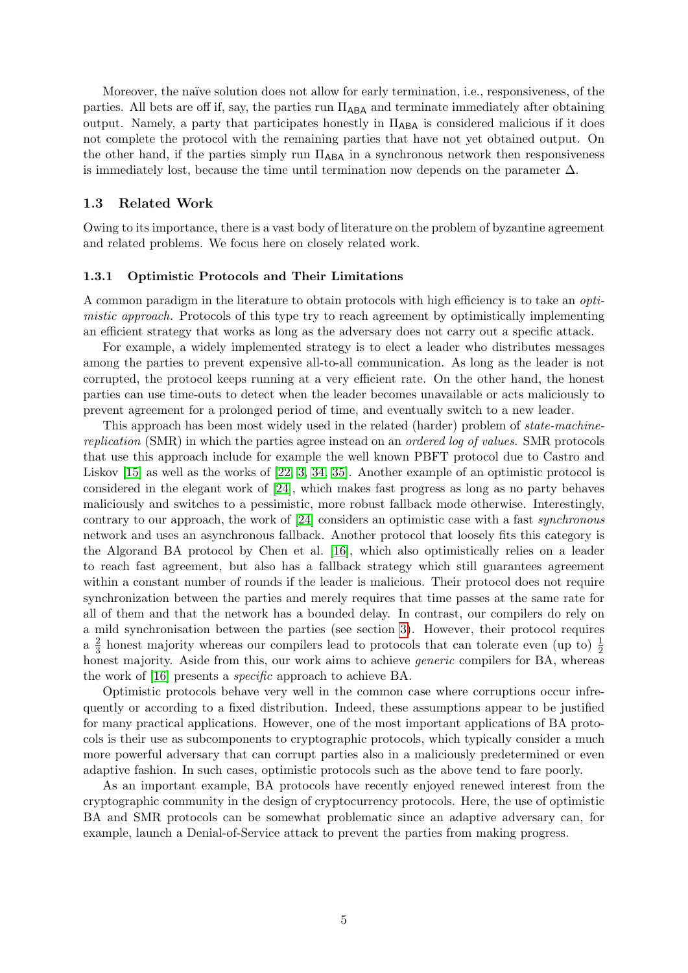Moreover, the naïve solution does not allow for early termination, i.e., responsiveness, of the parties. All bets are off if, say, the parties run  $\Pi_{ABA}$  and terminate immediately after obtaining output. Namely, a party that participates honestly in  $\Pi_{\mathsf{ABA}}$  is considered malicious if it does not complete the protocol with the remaining parties that have not yet obtained output. On the other hand, if the parties simply run  $\Pi_{ABA}$  in a synchronous network then responsiveness is immediately lost, because the time until termination now depends on the parameter  $\Delta$ .

#### <span id="page-4-0"></span>1.3 Related Work

Owing to its importance, there is a vast body of literature on the problem of byzantine agreement and related problems. We focus here on closely related work.

#### 1.3.1 Optimistic Protocols and Their Limitations

A common paradigm in the literature to obtain protocols with high efficiency is to take an optimistic approach. Protocols of this type try to reach agreement by optimistically implementing an efficient strategy that works as long as the adversary does not carry out a specific attack.

For example, a widely implemented strategy is to elect a leader who distributes messages among the parties to prevent expensive all-to-all communication. As long as the leader is not corrupted, the protocol keeps running at a very efficient rate. On the other hand, the honest parties can use time-outs to detect when the leader becomes unavailable or acts maliciously to prevent agreement for a prolonged period of time, and eventually switch to a new leader.

This approach has been most widely used in the related (harder) problem of state-machinereplication (SMR) in which the parties agree instead on an ordered log of values. SMR protocols that use this approach include for example the well known PBFT protocol due to Castro and Liskov [\[15\]](#page-27-2) as well as the works of [\[22,](#page-27-3) [3,](#page-26-0) [34,](#page-28-2) [35\]](#page-28-3). Another example of an optimistic protocol is considered in the elegant work of [\[24\]](#page-27-4), which makes fast progress as long as no party behaves maliciously and switches to a pessimistic, more robust fallback mode otherwise. Interestingly, contrary to our approach, the work of [\[24\]](#page-27-4) considers an optimistic case with a fast synchronous network and uses an asynchronous fallback. Another protocol that loosely fits this category is the Algorand BA protocol by Chen et al. [\[16\]](#page-27-5), which also optimistically relies on a leader to reach fast agreement, but also has a fallback strategy which still guarantees agreement within a constant number of rounds if the leader is malicious. Their protocol does not require synchronization between the parties and merely requires that time passes at the same rate for all of them and that the network has a bounded delay. In contrast, our compilers do rely on a mild synchronisation between the parties (see section [3\)](#page-5-0). However, their protocol requires  $a \frac{2}{3}$  $\frac{2}{3}$  honest majority whereas our compilers lead to protocols that can tolerate even (up to)  $\frac{1}{2}$ honest majority. Aside from this, our work aims to achieve *generic* compilers for BA, whereas the work of [\[16\]](#page-27-5) presents a specific approach to achieve BA.

Optimistic protocols behave very well in the common case where corruptions occur infrequently or according to a fixed distribution. Indeed, these assumptions appear to be justified for many practical applications. However, one of the most important applications of BA protocols is their use as subcomponents to cryptographic protocols, which typically consider a much more powerful adversary that can corrupt parties also in a maliciously predetermined or even adaptive fashion. In such cases, optimistic protocols such as the above tend to fare poorly.

As an important example, BA protocols have recently enjoyed renewed interest from the cryptographic community in the design of cryptocurrency protocols. Here, the use of optimistic BA and SMR protocols can be somewhat problematic since an adaptive adversary can, for example, launch a Denial-of-Service attack to prevent the parties from making progress.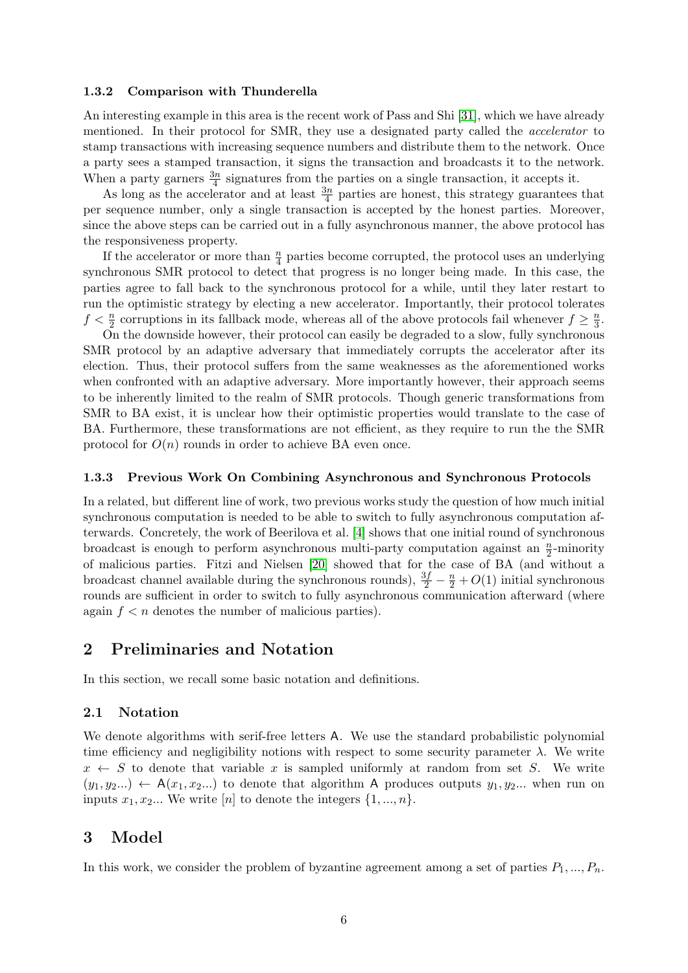#### 1.3.2 Comparison with Thunderella

An interesting example in this area is the recent work of Pass and Shi [\[31\]](#page-28-1), which we have already mentioned. In their protocol for SMR, they use a designated party called the accelerator to stamp transactions with increasing sequence numbers and distribute them to the network. Once a party sees a stamped transaction, it signs the transaction and broadcasts it to the network. When a party garners  $\frac{3n}{4}$  signatures from the parties on a single transaction, it accepts it.

As long as the accelerator and at least  $\frac{3n}{4}$  parties are honest, this strategy guarantees that per sequence number, only a single transaction is accepted by the honest parties. Moreover, since the above steps can be carried out in a fully asynchronous manner, the above protocol has the responsiveness property.

If the accelerator or more than  $\frac{n}{4}$  parties become corrupted, the protocol uses an underlying synchronous SMR protocol to detect that progress is no longer being made. In this case, the parties agree to fall back to the synchronous protocol for a while, until they later restart to run the optimistic strategy by electing a new accelerator. Importantly, their protocol tolerates  $f < \frac{n}{2}$  corruptions in its fallback mode, whereas all of the above protocols fail whenever  $f \geq \frac{n}{3}$  $\frac{n}{3}$ .

On the downside however, their protocol can easily be degraded to a slow, fully synchronous SMR protocol by an adaptive adversary that immediately corrupts the accelerator after its election. Thus, their protocol suffers from the same weaknesses as the aforementioned works when confronted with an adaptive adversary. More importantly however, their approach seems to be inherently limited to the realm of SMR protocols. Though generic transformations from SMR to BA exist, it is unclear how their optimistic properties would translate to the case of BA. Furthermore, these transformations are not efficient, as they require to run the the SMR protocol for  $O(n)$  rounds in order to achieve BA even once.

#### 1.3.3 Previous Work On Combining Asynchronous and Synchronous Protocols

In a related, but different line of work, two previous works study the question of how much initial synchronous computation is needed to be able to switch to fully asynchronous computation afterwards. Concretely, the work of Beerilova et al. [\[4\]](#page-26-1) shows that one initial round of synchronous broadcast is enough to perform asynchronous multi-party computation against an  $\frac{n}{2}$ -minority of malicious parties. Fitzi and Nielsen [\[20\]](#page-27-6) showed that for the case of BA (and without a broadcast channel available during the synchronous rounds),  $\frac{3f}{2} - \frac{n}{2} + O(1)$  initial synchronous rounds are sufficient in order to switch to fully asynchronous communication afterward (where again  $f < n$  denotes the number of malicious parties).

# 2 Preliminaries and Notation

In this section, we recall some basic notation and definitions.

#### 2.1 Notation

We denote algorithms with serif-free letters A. We use the standard probabilistic polynomial time efficiency and negligibility notions with respect to some security parameter  $\lambda$ . We write  $x \leftarrow S$  to denote that variable x is sampled uniformly at random from set S. We write  $(y_1, y_2...) \leftarrow A(x_1, x_2...)$  to denote that algorithm A produces outputs  $y_1, y_2...$  when run on inputs  $x_1, x_2...$  We write  $[n]$  to denote the integers  $\{1, ..., n\}$ .

# <span id="page-5-0"></span>3 Model

In this work, we consider the problem of byzantine agreement among a set of parties  $P_1, ..., P_n$ .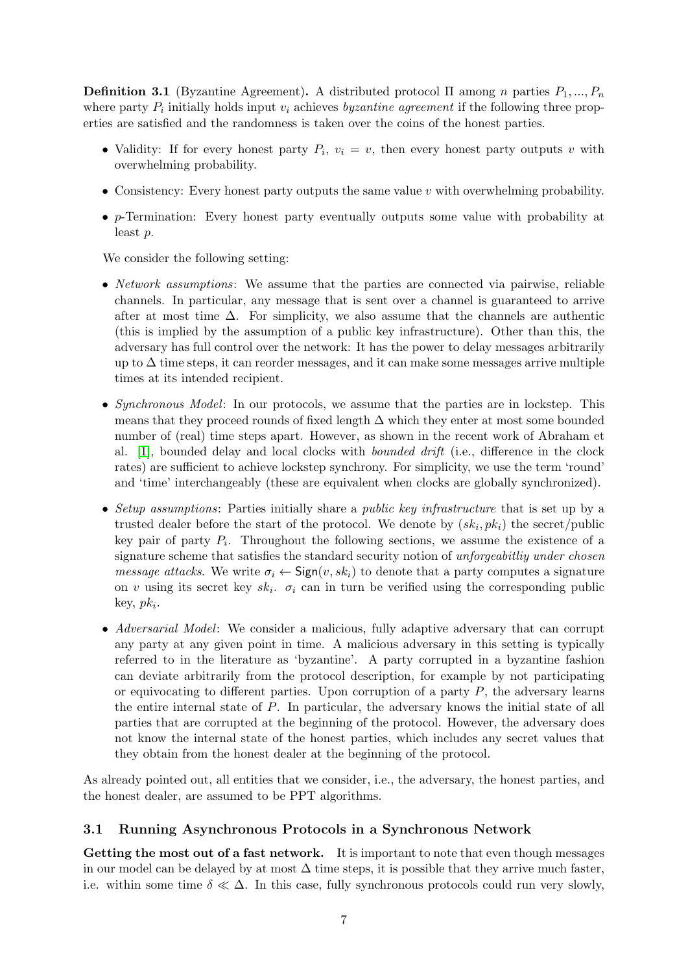**Definition 3.1** (Byzantine Agreement). A distributed protocol  $\Pi$  among n parties  $P_1, ..., P_n$ where party  $P_i$  initially holds input  $v_i$  achieves *byzantine agreement* if the following three properties are satisfied and the randomness is taken over the coins of the honest parties.

- Validity: If for every honest party  $P_i$ ,  $v_i = v$ , then every honest party outputs v with overwhelming probability.
- Consistency: Every honest party outputs the same value  $v$  with overwhelming probability.
- p-Termination: Every honest party eventually outputs some value with probability at least p.

We consider the following setting:

- *Network assumptions*: We assume that the parties are connected via pairwise, reliable channels. In particular, any message that is sent over a channel is guaranteed to arrive after at most time  $\Delta$ . For simplicity, we also assume that the channels are authentic (this is implied by the assumption of a public key infrastructure). Other than this, the adversary has full control over the network: It has the power to delay messages arbitrarily up to  $\Delta$  time steps, it can reorder messages, and it can make some messages arrive multiple times at its intended recipient.
- Synchronous Model: In our protocols, we assume that the parties are in lockstep. This means that they proceed rounds of fixed length  $\Delta$  which they enter at most some bounded number of (real) time steps apart. However, as shown in the recent work of Abraham et al. [\[1\]](#page-26-2), bounded delay and local clocks with bounded drift (i.e., difference in the clock rates) are sufficient to achieve lockstep synchrony. For simplicity, we use the term 'round' and 'time' interchangeably (these are equivalent when clocks are globally synchronized).
- Setup assumptions: Parties initially share a *public key infrastructure* that is set up by a trusted dealer before the start of the protocol. We denote by  $(s k_i, p k_i)$  the secret/public key pair of party  $P_i$ . Throughout the following sections, we assume the existence of a signature scheme that satisfies the standard security notion of *unforgeabitliy under chosen message attacks.* We write  $\sigma_i \leftarrow \text{Sign}(v, sk_i)$  to denote that a party computes a signature on v using its secret key  $sk_i$ .  $\sigma_i$  can in turn be verified using the corresponding public key,  $pk_i$ .
- Adversarial Model: We consider a malicious, fully adaptive adversary that can corrupt any party at any given point in time. A malicious adversary in this setting is typically referred to in the literature as 'byzantine'. A party corrupted in a byzantine fashion can deviate arbitrarily from the protocol description, for example by not participating or equivocating to different parties. Upon corruption of a party  $P$ , the adversary learns the entire internal state of P. In particular, the adversary knows the initial state of all parties that are corrupted at the beginning of the protocol. However, the adversary does not know the internal state of the honest parties, which includes any secret values that they obtain from the honest dealer at the beginning of the protocol.

As already pointed out, all entities that we consider, i.e., the adversary, the honest parties, and the honest dealer, are assumed to be PPT algorithms.

# <span id="page-6-0"></span>3.1 Running Asynchronous Protocols in a Synchronous Network

Getting the most out of a fast network. It is important to note that even though messages in our model can be delayed by at most  $\Delta$  time steps, it is possible that they arrive much faster, i.e. within some time  $\delta \ll \Delta$ . In this case, fully synchronous protocols could run very slowly,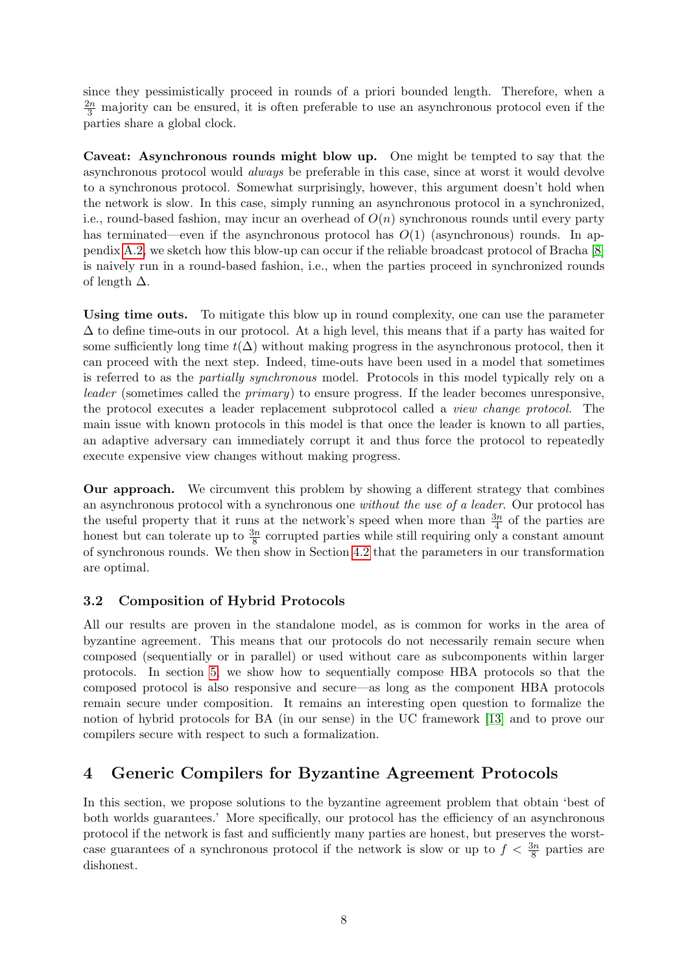since they pessimistically proceed in rounds of a priori bounded length. Therefore, when a  $\frac{2n}{3}$  majority can be ensured, it is often preferable to use an asynchronous protocol even if the parties share a global clock.

Caveat: Asynchronous rounds might blow up. One might be tempted to say that the asynchronous protocol would always be preferable in this case, since at worst it would devolve to a synchronous protocol. Somewhat surprisingly, however, this argument doesn't hold when the network is slow. In this case, simply running an asynchronous protocol in a synchronized, i.e., round-based fashion, may incur an overhead of  $O(n)$  synchronous rounds until every party has terminated—even if the asynchronous protocol has  $O(1)$  (asynchronous) rounds. In appendix [A.2,](#page-29-0) we sketch how this blow-up can occur if the reliable broadcast protocol of Bracha [\[8\]](#page-27-7) is naively run in a round-based fashion, i.e., when the parties proceed in synchronized rounds of length  $\Delta$ .

Using time outs. To mitigate this blow up in round complexity, one can use the parameter  $\Delta$  to define time-outs in our protocol. At a high level, this means that if a party has waited for some sufficiently long time  $t(\Delta)$  without making progress in the asynchronous protocol, then it can proceed with the next step. Indeed, time-outs have been used in a model that sometimes is referred to as the partially synchronous model. Protocols in this model typically rely on a leader (sometimes called the *primary*) to ensure progress. If the leader becomes unresponsive, the protocol executes a leader replacement subprotocol called a view change protocol. The main issue with known protocols in this model is that once the leader is known to all parties, an adaptive adversary can immediately corrupt it and thus force the protocol to repeatedly execute expensive view changes without making progress.

Our approach. We circumvent this problem by showing a different strategy that combines an asynchronous protocol with a synchronous one without the use of a leader. Our protocol has the useful property that it runs at the network's speed when more than  $\frac{3n}{4}$  of the parties are honest but can tolerate up to  $\frac{3n}{8}$  corrupted parties while still requiring only a constant amount of synchronous rounds. We then show in Section [4.2](#page-13-0) that the parameters in our transformation are optimal.

# 3.2 Composition of Hybrid Protocols

All our results are proven in the standalone model, as is common for works in the area of byzantine agreement. This means that our protocols do not necessarily remain secure when composed (sequentially or in parallel) or used without care as subcomponents within larger protocols. In section [5,](#page-20-0) we show how to sequentially compose HBA protocols so that the composed protocol is also responsive and secure—as long as the component HBA protocols remain secure under composition. It remains an interesting open question to formalize the notion of hybrid protocols for BA (in our sense) in the UC framework [\[13\]](#page-27-8) and to prove our compilers secure with respect to such a formalization.

# 4 Generic Compilers for Byzantine Agreement Protocols

In this section, we propose solutions to the byzantine agreement problem that obtain 'best of both worlds guarantees.' More specifically, our protocol has the efficiency of an asynchronous protocol if the network is fast and sufficiently many parties are honest, but preserves the worstcase guarantees of a synchronous protocol if the network is slow or up to  $f < \frac{3n}{8}$  parties are dishonest.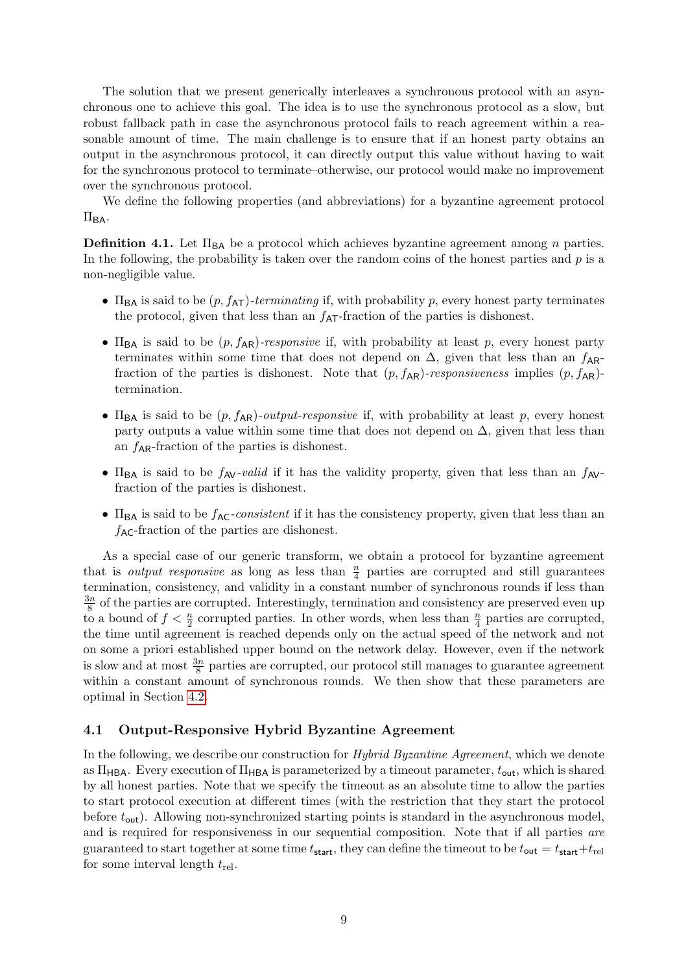The solution that we present generically interleaves a synchronous protocol with an asynchronous one to achieve this goal. The idea is to use the synchronous protocol as a slow, but robust fallback path in case the asynchronous protocol fails to reach agreement within a reasonable amount of time. The main challenge is to ensure that if an honest party obtains an output in the asynchronous protocol, it can directly output this value without having to wait for the synchronous protocol to terminate–otherwise, our protocol would make no improvement over the synchronous protocol.

We define the following properties (and abbreviations) for a byzantine agreement protocol  $\Pi_{BA}$ .

**Definition 4.1.** Let  $\Pi_{BA}$  be a protocol which achieves byzantine agreement among n parties. In the following, the probability is taken over the random coins of the honest parties and  $p$  is a non-negligible value.

- $\Pi_{BA}$  is said to be  $(p, f_{AT})$ -terminating if, with probability p, every honest party terminates the protocol, given that less than an  $f_{\text{AT}}$ -fraction of the parties is dishonest.
- $\Pi_{\text{BA}}$  is said to be  $(p, f_{\text{AR}})$ -responsive if, with probability at least p, every honest party terminates within some time that does not depend on  $\Delta$ , given that less than an  $f_{AR}$ fraction of the parties is dishonest. Note that  $(p, f_{AR})$ -responsiveness implies  $(p, f_{AR})$ termination.
- $\Pi_{BA}$  is said to be  $(p, f_{AR})$ -output-responsive if, with probability at least p, every honest party outputs a value within some time that does not depend on  $\Delta$ , given that less than an  $f_{AR}$ -fraction of the parties is dishonest.
- $\Pi_{BA}$  is said to be  $f_{AV}$ -valid if it has the validity property, given that less than an  $f_{AV}$ fraction of the parties is dishonest.
- $\Pi_{BA}$  is said to be  $f_{AC}$ -consistent if it has the consistency property, given that less than an  $f_{AC}$ -fraction of the parties are dishonest.

As a special case of our generic transform, we obtain a protocol for byzantine agreement that is *output responsive* as long as less than  $\frac{n}{4}$  parties are corrupted and still guarantees termination, consistency, and validity in a constant number of synchronous rounds if less than  $\frac{3n}{2}$  $\frac{8n}{8}$  of the parties are corrupted. Interestingly, termination and consistency are preserved even up to a bound of  $f < \frac{n}{2}$  corrupted parties. In other words, when less than  $\frac{n}{4}$  parties are corrupted, the time until agreement is reached depends only on the actual speed of the network and not on some a priori established upper bound on the network delay. However, even if the network is slow and at most  $\frac{3n}{8}$  parties are corrupted, our protocol still manages to guarantee agreement within a constant amount of synchronous rounds. We then show that these parameters are optimal in Section [4.2.](#page-13-0)

#### <span id="page-8-0"></span>4.1 Output-Responsive Hybrid Byzantine Agreement

In the following, we describe our construction for *Hybrid Byzantine Agreement*, which we denote as  $\Pi_{\mathsf{HBA}}$ . Every execution of  $\Pi_{\mathsf{HBA}}$  is parameterized by a timeout parameter,  $t_{\mathsf{out}}$ , which is shared by all honest parties. Note that we specify the timeout as an absolute time to allow the parties to start protocol execution at different times (with the restriction that they start the protocol before  $t_{\text{out}}$ ). Allowing non-synchronized starting points is standard in the asynchronous model, and is required for responsiveness in our sequential composition. Note that if all parties are guaranteed to start together at some time  $t_{\text{start}}$ , they can define the timeout to be  $t_{\text{out}} = t_{\text{start}} + t_{\text{rel}}$ for some interval length  $t_{rel}$ .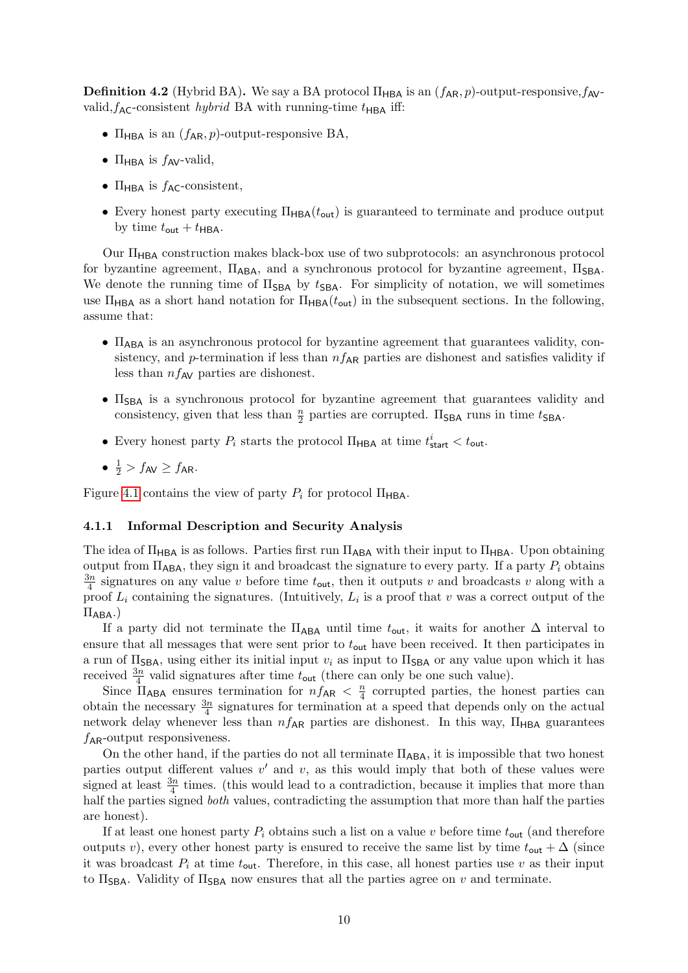**Definition 4.2** (Hybrid BA). We say a BA protocol  $\Pi_{HBA}$  is an  $(f_{AR}, p)$ -output-responsive,  $f_{AV}$ valid,  $f_{AC}$ -consistent *hybrid* BA with running-time  $t_{HBA}$  iff:

- $\Pi_{\text{HBA}}$  is an  $(f_{\text{AR}}, p)$ -output-responsive BA,
- $\Pi_{\text{HBA}}$  is  $f_{\text{AV}}$ -valid,
- $\Pi_{\text{HBA}}$  is  $f_{\text{AC}}$ -consistent,
- Every honest party executing  $\Pi_{\text{HBA}}(t_{\text{out}})$  is guaranteed to terminate and produce output by time  $t_{\text{out}} + t_{\text{HBA}}$ .

Our  $\Pi_{\text{HBA}}$  construction makes black-box use of two subprotocols: an asynchronous protocol for byzantine agreement,  $\Pi_{ABA}$ , and a synchronous protocol for byzantine agreement,  $\Pi_{SBA}$ . We denote the running time of  $\Pi_{\text{SBA}}$  by  $t_{\text{SBA}}$ . For simplicity of notation, we will sometimes use  $\Pi_{\text{HBA}}$  as a short hand notation for  $\Pi_{\text{HBA}}(t_{\text{out}})$  in the subsequent sections. In the following, assume that:

- $\Pi_{ABA}$  is an asynchronous protocol for byzantine agreement that guarantees validity, consistency, and p-termination if less than  $nf_{AR}$  parties are dishonest and satisfies validity if less than  $nf_{AV}$  parties are dishonest.
- $\bullet$   $\Pi_{\text{SBA}}$  is a synchronous protocol for byzantine agreement that guarantees validity and consistency, given that less than  $\frac{n}{2}$  parties are corrupted.  $\Pi_{\text{SBA}}$  runs in time  $t_{\text{SBA}}$ .
- Every honest party  $P_i$  starts the protocol  $\Pi_{\mathsf{HBA}}$  at time  $t^i_{\mathsf{start}} < t_{\mathsf{out}}$ .
- $\frac{1}{2}$  >  $f_{AV} \ge f_{AR}$ .

Figure [4.1](#page-10-0) contains the view of party  $P_i$  for protocol  $\Pi_{\mathsf{HBA}}$ .

#### 4.1.1 Informal Description and Security Analysis

The idea of  $\Pi_{\text{HBA}}$  is as follows. Parties first run  $\Pi_{\text{ABA}}$  with their input to  $\Pi_{\text{HBA}}$ . Upon obtaining output from  $\Pi_{\mathsf{ABA}}$ , they sign it and broadcast the signature to every party. If a party  $P_i$  obtains  $\frac{3n}{2}$  $\frac{3n}{4}$  signatures on any value v before time  $t_{\text{out}}$ , then it outputs v and broadcasts v along with a proof  $L_i$  containing the signatures. (Intuitively,  $L_i$  is a proof that v was a correct output of the  $\Pi_{\mathsf{ABA}}$ .)

If a party did not terminate the  $\Pi_{ABA}$  until time  $t_{out}$ , it waits for another  $\Delta$  interval to ensure that all messages that were sent prior to  $t_{\text{out}}$  have been received. It then participates in a run of  $\Pi_{\text{SBA}}$ , using either its initial input  $v_i$  as input to  $\Pi_{\text{SBA}}$  or any value upon which it has received  $\frac{3n}{4}$  valid signatures after time  $t_{\text{out}}$  (there can only be one such value).

Since  $\Pi_{\mathsf{ABA}}$  ensures termination for  $nf_{\mathsf{AR}} < \frac{n}{4}$  $\frac{n}{4}$  corrupted parties, the honest parties can obtain the necessary  $\frac{3n}{4}$  signatures for termination at a speed that depends only on the actual network delay whenever less than  $nf_{AR}$  parties are dishonest. In this way,  $\Pi_{HBA}$  guarantees  $f_{AR}$ -output responsiveness.

On the other hand, if the parties do not all terminate  $\Pi_{ABA}$ , it is impossible that two honest parties output different values  $v'$  and  $v$ , as this would imply that both of these values were signed at least  $\frac{3n}{4}$  times. (this would lead to a contradiction, because it implies that more than half the parties signed *both* values, contradicting the assumption that more than half the parties are honest).

If at least one honest party  $P_i$  obtains such a list on a value v before time  $t_{\text{out}}$  (and therefore outputs v), every other honest party is ensured to receive the same list by time  $t_{\text{out}} + \Delta$  (since it was broadcast  $P_i$  at time  $t_{\text{out}}$ . Therefore, in this case, all honest parties use v as their input to  $\Pi_{\text{SBA}}$ . Validity of  $\Pi_{\text{SBA}}$  now ensures that all the parties agree on v and terminate.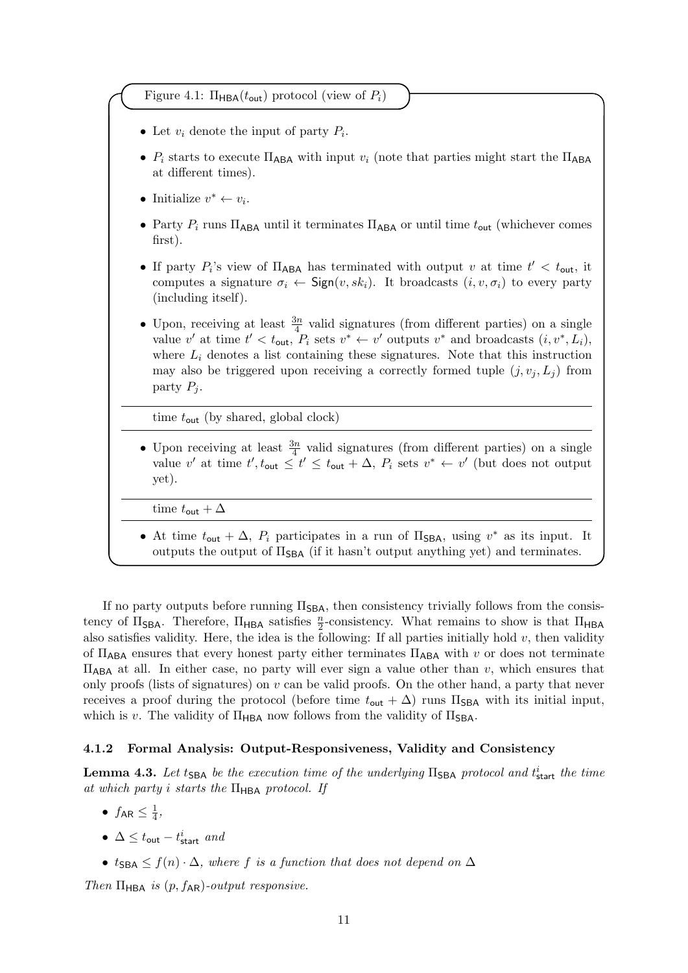<span id="page-10-0"></span>Figure 4.1:  $\Pi_{\text{HBA}}(t_{\text{out}})$  protocol (view of  $P_i$ )

- Let  $v_i$  denote the input of party  $P_i$ .
- $P_i$  starts to execute  $\Pi_{\mathsf{ABA}}$  with input  $v_i$  (note that parties might start the  $\Pi_{\mathsf{ABA}}$ at different times).
- Initialize  $v^* \leftarrow v_i$ .
- Party  $P_i$  runs  $\Pi_{ABA}$  until it terminates  $\Pi_{ABA}$  or until time  $t_{out}$  (whichever comes first).
- If party  $P_i$ 's view of  $\Pi_{ABA}$  has terminated with output v at time  $t' < t_{out}$ , it computes a signature  $\sigma_i \leftarrow \text{Sign}(v, sk_i)$ . It broadcasts  $(i, v, \sigma_i)$  to every party (including itself).
- Upon, receiving at least  $\frac{3n}{4}$  valid signatures (from different parties) on a single value v' at time  $t' < t_{\text{out}}$ ,  $P_i$  sets  $v^* \leftarrow v'$  outputs  $v^*$  and broadcasts  $(i, v^*, L_i)$ , where  $L_i$  denotes a list containing these signatures. Note that this instruction may also be triggered upon receiving a correctly formed tuple  $(j, v_j, L_j)$  from party  $P_i$ .

time  $t_{\text{out}}$  (by shared, global clock)

• Upon receiving at least  $\frac{3n}{4}$  valid signatures (from different parties) on a single value v' at time  $t', t_{\text{out}} \leq t' \leq t_{\text{out}} + \Delta$ ,  $P_i$  sets  $v^* \leftarrow v'$  (but does not output yet).

time  $t_{\text{out}} + \Delta$ 

• At time  $t_{\text{out}} + \Delta$ ,  $P_i$  participates in a run of  $\Pi_{\text{SBA}}$ , using  $v^*$  as its input. It outputs the output of  $\Pi_{\text{SBA}}$  (if it hasn't output anything yet) and terminates.

If no party outputs before running  $\Pi_{\text{SBA}}$ , then consistency trivially follows from the consistency of  $\Pi_{\mathsf{SBA}}$ . Therefore,  $\Pi_{\mathsf{HBA}}$  satisfies  $\frac{n}{2}$ -consistency. What remains to show is that  $\Pi_{\mathsf{HBA}}$ also satisfies validity. Here, the idea is the following: If all parties initially hold  $v$ , then validity of  $\Pi_{\text{ABA}}$  ensures that every honest party either terminates  $\Pi_{\text{ABA}}$  with v or does not terminate  $\Pi_{\mathsf{ABA}}$  at all. In either case, no party will ever sign a value other than v, which ensures that only proofs (lists of signatures) on  $v$  can be valid proofs. On the other hand, a party that never receives a proof during the protocol (before time  $t_{\text{out}} + \Delta$ ) runs  $\Pi_{\text{SBA}}$  with its initial input, which is v. The validity of  $\Pi_{\rm HBA}$  now follows from the validity of  $\Pi_{\rm SBA}$ .

#### 4.1.2 Formal Analysis: Output-Responsiveness, Validity and Consistency

<span id="page-10-1"></span>**Lemma 4.3.** Let t<sub>SBA</sub> be the execution time of the underlying  $\Pi_{\text{SBA}}$  protocol and  $t_{\text{start}}^i$  the time at which party i starts the  $\Pi_{\mathsf{HBA}}$  protocol. If

- $\bullet$   $f_{\sf AR} \leq \frac{1}{4}$  $\frac{1}{4}$ ,
- $\Delta \leq t_{\sf out} t_{\sf start}^i$  and
- $t_{\text{SBA}} \leq f(n) \cdot \Delta$ , where f is a function that does not depend on  $\Delta$

Then  $\Pi_{\mathsf{HBA}}$  is  $(p, f_{\mathsf{AR}})$ -output responsive.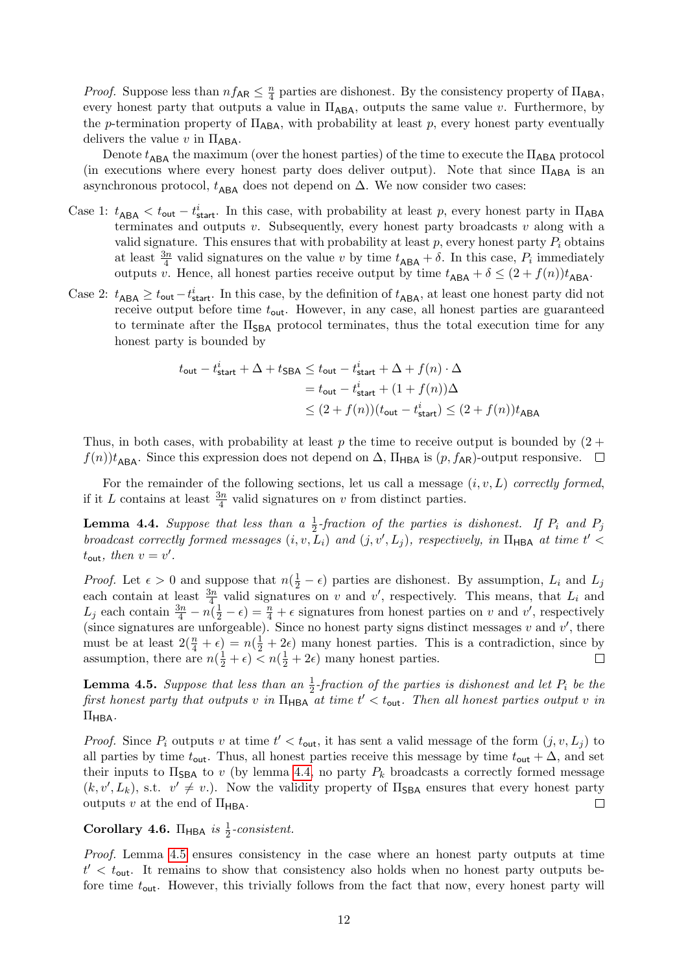*Proof.* Suppose less than  $nf_{AR} \leq \frac{n}{4}$  $\frac{n}{4}$  parties are dishonest. By the consistency property of  $\Pi_{\mathsf{ABA}}$ , every honest party that outputs a value in  $\Pi_{\mathsf{ABA}}$ , outputs the same value v. Furthermore, by the p-termination property of  $\Pi_{\mathsf{ABA}}$ , with probability at least p, every honest party eventually delivers the value v in  $\Pi_{\mathsf{ABA}}$ .

Denote  $t_{\text{ABA}}$  the maximum (over the honest parties) of the time to execute the  $\Pi_{\text{ABA}}$  protocol (in executions where every honest party does deliver output). Note that since  $\Pi_{ABA}$  is an asynchronous protocol,  $t_{\mathsf{ABA}}$  does not depend on  $\Delta$ . We now consider two cases:

- Case 1:  $t_{\text{ABA}} < t_{\text{out}} t_{\text{start}}^i$ . In this case, with probability at least p, every honest party in  $\Pi_{\text{ABA}}$ terminates and outputs v. Subsequently, every honest party broadcasts v along with a valid signature. This ensures that with probability at least  $p$ , every honest party  $P_i$  obtains at least  $\frac{3n}{4}$  valid signatures on the value v by time  $t_{\mathsf{ABA}} + \delta$ . In this case,  $P_i$  immediately outputs v. Hence, all honest parties receive output by time  $t_{\mathsf{ABA}} + \delta \leq (2 + f(n))t_{\mathsf{ABA}}$ .
- Case 2:  $t_{\text{ABA}} \geq t_{\text{out}} t_{\text{start}}^i$ . In this case, by the definition of  $t_{\text{ABA}}$ , at least one honest party did not receive output before time  $t_{\text{out}}$ . However, in any case, all honest parties are guaranteed to terminate after the  $\Pi_{\text{SBA}}$  protocol terminates, thus the total execution time for any honest party is bounded by

$$
t_{\text{out}} - t_{\text{start}}^i + \Delta + t_{\text{SBA}} \le t_{\text{out}} - t_{\text{start}}^i + \Delta + f(n) \cdot \Delta
$$
  
=  $t_{\text{out}} - t_{\text{start}}^i + (1 + f(n))\Delta$   

$$
\le (2 + f(n))(t_{\text{out}} - t_{\text{start}}^i) \le (2 + f(n))t_{\text{ABA}}
$$

Thus, in both cases, with probability at least p the time to receive output is bounded by  $(2 +$  $f(n)$ <sub>ABA</sub>. Since this expression does not depend on  $\Delta$ ,  $\Pi_{\text{HBA}}$  is  $(p, f_{\text{AR}})$ -output responsive.  $\Box$ 

For the remainder of the following sections, let us call a message  $(i, v, L)$  correctly formed, if it L contains at least  $\frac{3n}{4}$  valid signatures on v from distinct parties.

<span id="page-11-0"></span>**Lemma 4.4.** Suppose that less than a  $\frac{1}{2}$ -fraction of the parties is dishonest. If  $P_i$  and  $P_j$ broadcast correctly formed messages  $(i, v, L_i)$  and  $(j, v', L_j)$ , respectively, in  $\Pi_{\mathsf{HBA}}$  at time  $t'$  $t_{\text{out}}$ , then  $v = v'$ .

*Proof.* Let  $\epsilon > 0$  and suppose that  $n(\frac{1}{2} - \epsilon)$  parties are dishonest. By assumption,  $L_i$  and  $L_j$ each contain at least  $\frac{3n}{4}$  valid signatures on v and v', respectively. This means, that  $L_i$  and  $L_j$  each contain  $\frac{3n}{4} - n(\frac{1}{2} - \epsilon) = \frac{n}{4} + \epsilon$  signatures from honest parties on v and v', respectively (since signatures are unforgeable). Since no honest party signs distinct messages  $v$  and  $v'$ , there must be at least  $2(\frac{n}{4} + \epsilon) = n(\frac{1}{2} + 2\epsilon)$  many honest parties. This is a contradiction, since by assumption, there are  $n(\frac{1}{2} + \epsilon) < n(\frac{1}{2} + 2\epsilon)$  many honest parties.

<span id="page-11-1"></span>**Lemma 4.5.** Suppose that less than an  $\frac{1}{2}$ -fraction of the parties is dishonest and let  $P_i$  be the first honest party that outputs v in  $\Pi_{\sf HBA}$  at time  $t' < t_{\sf out}$ . Then all honest parties output v in  $\Pi_{\mathsf{HBA}}$ .

*Proof.* Since  $P_i$  outputs v at time  $t' < t_{\text{out}}$ , it has sent a valid message of the form  $(j, v, L_j)$  to all parties by time  $t_{\text{out}}$ . Thus, all honest parties receive this message by time  $t_{\text{out}} + \Delta$ , and set their inputs to  $\Pi_{\text{SBA}}$  to v (by lemma [4.4,](#page-11-0) no party  $P_k$  broadcasts a correctly formed message  $(k, v', L_k)$ , s.t.  $v' \neq v$ .). Now the validity property of  $\Pi_{\text{SBA}}$  ensures that every honest party outputs v at the end of  $\Pi_{\rm HBA}$ .  $\Box$ 

Corollary 4.6.  $\Pi_{\text{HBA}}$  is  $\frac{1}{2}$ -consistent.

Proof. Lemma [4.5](#page-11-1) ensures consistency in the case where an honest party outputs at time  $t' < t_{\text{out}}$ . It remains to show that consistency also holds when no honest party outputs before time  $t_{\text{out}}$ . However, this trivially follows from the fact that now, every honest party will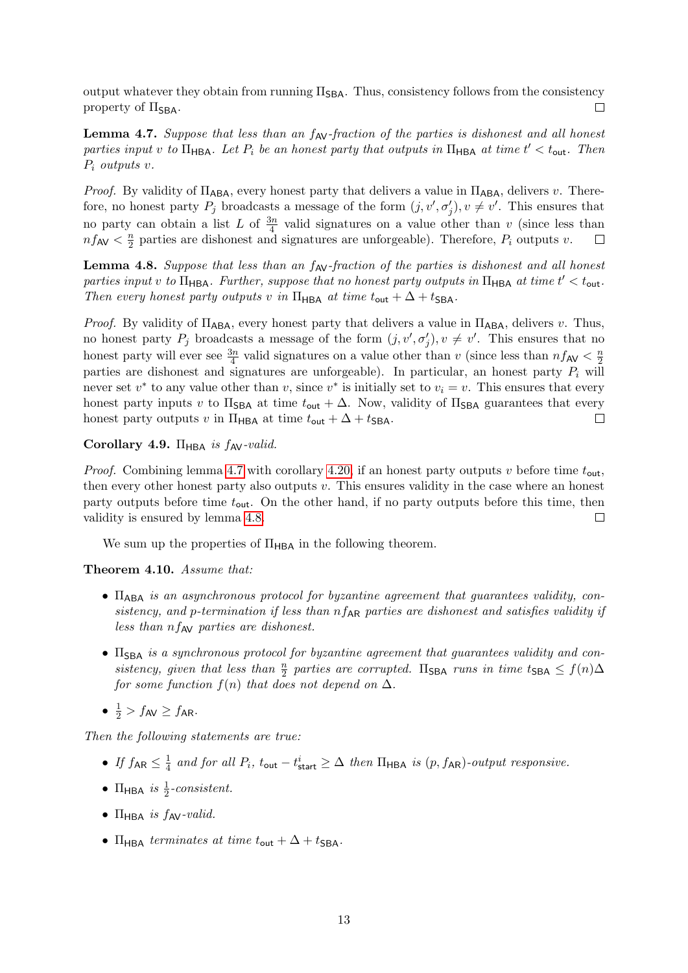output whatever they obtain from running  $\Pi_{\text{SBA}}$ . Thus, consistency follows from the consistency property of  $\Pi_{\text{SBA}}$ .  $\Box$ 

<span id="page-12-1"></span>**Lemma 4.7.** Suppose that less than an  $f_{\text{AV}}$ -fraction of the parties is dishonest and all honest parties input v to  $\Pi_{\mathsf{HBA}}$ . Let  $P_i$  be an honest party that outputs in  $\Pi_{\mathsf{HBA}}$  at time  $t' < t_{\mathsf{out}}$ . Then  $P_i$  outputs v.

*Proof.* By validity of  $\Pi_{ABA}$ , every honest party that delivers a value in  $\Pi_{ABA}$ , delivers v. Therefore, no honest party  $P_j$  broadcasts a message of the form  $(j, v', \sigma'_j), v \neq v'$ . This ensures that no party can obtain a list L of  $\frac{3n}{4}$  valid signatures on a value other than v (since less than  $nf_{AV} < \frac{n}{2}$  $\frac{n}{2}$  parties are dishonest and signatures are unforgeable). Therefore,  $P_i$  outputs v.  $\Box$ 

<span id="page-12-2"></span>**Lemma 4.8.** Suppose that less than an  $f_{AV}$ -fraction of the parties is dishonest and all honest parties input v to  $\Pi_{\sf HBA}$ . Further, suppose that no honest party outputs in  $\Pi_{\sf HBA}$  at time  $t' < t_{\sf out}$ . Then every honest party outputs v in  $\Pi_{\mathsf{HBA}}$  at time  $t_{\mathsf{out}} + \Delta + t_{\mathsf{SBA}}$ .

*Proof.* By validity of  $\Pi_{\mathsf{ABA}}$ , every honest party that delivers a value in  $\Pi_{\mathsf{ABA}}$ , delivers v. Thus, no honest party  $P_j$  broadcasts a message of the form  $(j, v', \sigma'_j), v \neq v'$ . This ensures that no honest party will ever see  $\frac{3n}{4}$  valid signatures on a value other than v (since less than  $nf_{AV} < \frac{n}{2}$ ) 2 parties are dishonest and signatures are unforgeable). In particular, an honest party  $P_i$  will never set  $v^*$  to any value other than v, since  $v^*$  is initially set to  $v_i = v$ . This ensures that every honest party inputs v to  $\Pi_{\text{SBA}}$  at time  $t_{\text{out}} + \Delta$ . Now, validity of  $\Pi_{\text{SBA}}$  guarantees that every honest party outputs v in  $\Pi_{\mathsf{HBA}}$  at time  $t_{\mathsf{out}} + \Delta + t_{\mathsf{SBA}}$ .  $\Box$ 

#### <span id="page-12-3"></span>Corollary 4.9. Π<sub>HBA</sub> is  $f_{AV}$ -valid.

*Proof.* Combining lemma [4.7](#page-12-1) with corollary [4.20,](#page-18-0) if an honest party outputs v before time  $t_{\text{out}}$ , then every other honest party also outputs  $v$ . This ensures validity in the case where an honest party outputs before time  $t_{\text{out}}$ . On the other hand, if no party outputs before this time, then validity is ensured by lemma [4.8.](#page-12-2)  $\Box$ 

We sum up the properties of  $\Pi_{\mathsf{HBA}}$  in the following theorem.

<span id="page-12-0"></span>Theorem 4.10. Assume that:

- $\Pi_{ABA}$  is an asynchronous protocol for byzantine agreement that guarantees validity, consistency, and p-termination if less than  $nf_{AR}$  parties are dishonest and satisfies validity if less than  $nf_{AV}$  parties are dishonest.
- $\Pi_{\text{SBA}}$  is a synchronous protocol for byzantine agreement that guarantees validity and consistency, given that less than  $\frac{n}{2}$  parties are corrupted.  $\Pi_{\text{SBA}}$  runs in time  $t_{\text{SBA}} \leq f(n)\Delta$ for some function  $f(n)$  that does not depend on  $\Delta$ .
- $\frac{1}{2}$  >  $f_{AV} \ge f_{AR}$ .

Then the following statements are true:

- $\bullet$  If  $f_{\mathsf{AR}} \leq \frac{1}{4}$  $\frac{1}{4}$  and for all  $P_i$ ,  $t_{\text{out}} - t_{\text{start}}^i \geq \Delta$  then  $\Pi_{\text{HBA}}$  is  $(p, f_{\text{AR}})$ -output responsive.
- $\Pi_{\text{HBA}}$  is  $\frac{1}{2}$ -consistent.
- $\Pi_{\text{HBA}}$  is  $f_{\text{AV}}$ -valid.
- $\Pi_{\text{HBA}}$  terminates at time  $t_{\text{out}} + \Delta + t_{\text{SBA}}$ .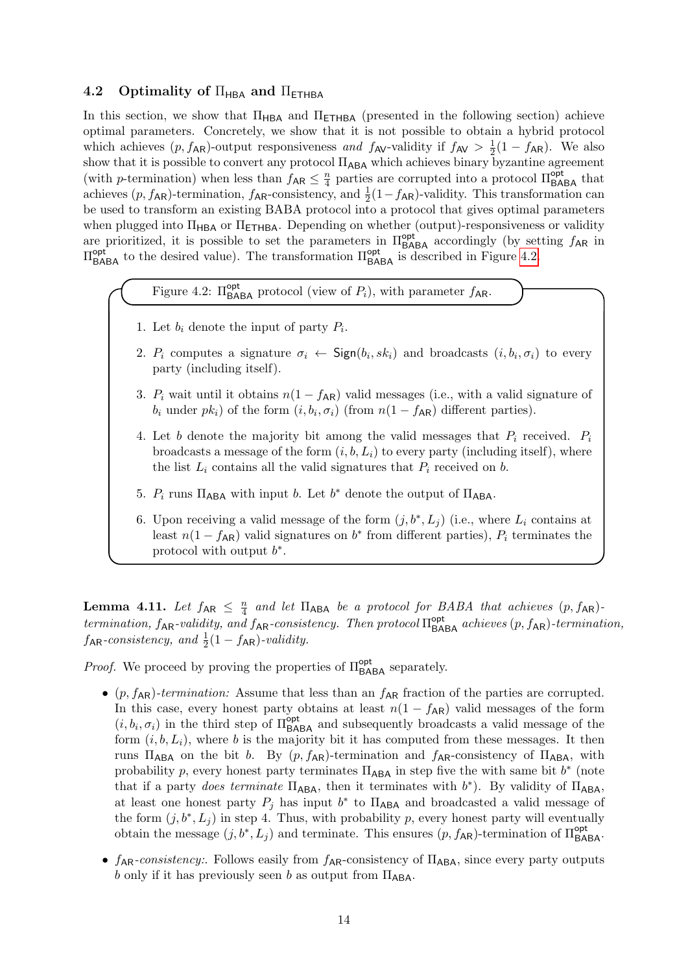### <span id="page-13-0"></span>4.2 Optimality of  $\Pi_{\mathsf{HBA}}$  and  $\Pi_{\mathsf{ETHBA}}$

In this section, we show that  $\Pi_{\mathsf{HBA}}$  and  $\Pi_{\mathsf{ETHBA}}$  (presented in the following section) achieve optimal parameters. Concretely, we show that it is not possible to obtain a hybrid protocol which achieves  $(p, f_{AR})$ -output responsiveness and  $f_{AV}$ -validity if  $f_{AV} > \frac{1}{2}$  $\frac{1}{2}(1-f_{AR})$ . We also show that it is possible to convert any protocol ΠABA which achieves binary byzantine agreement (with *p*-termination) when less than  $f_{AR} \leq \frac{n}{4}$  $\frac{n}{4}$  parties are corrupted into a protocol  $\Pi_{\mathsf{BABA}}^{\mathsf{opt}}$  that achieves  $(p, f_{AR})$ -termination,  $f_{AR}$ -consistency, and  $\frac{1}{2}(1-f_{AR})$ -validity. This transformation can be used to transform an existing BABA protocol into a protocol that gives optimal parameters when plugged into  $\Pi_{\mathsf{HBA}}$  or  $\Pi_{\mathsf{ETHBA}}$ . Depending on whether (output)-responsiveness or validity are prioritized, it is possible to set the parameters in  $\Pi_{\mathsf{BABA}}^{\mathsf{opt}}$  accordingly (by setting  $f_{\mathsf{AR}}$  in  $\Pi_{\mathsf{BABA}}^{\mathsf{opt}}$  to the desired value). The transformation  $\Pi_{\mathsf{BABA}}^{\mathsf{opt}}$  is described in Figure [4.2.](#page-13-1)

<span id="page-13-1"></span>Figure 4.2:  $\Pi_{\mathsf{BABA}}^{\mathsf{opt}}$  protocol (view of  $P_i$ ), with parameter  $f_{\mathsf{AR}}$ .

- 1. Let  $b_i$  denote the input of party  $P_i$ .
- 2.  $P_i$  computes a signature  $\sigma_i \leftarrow \textsf{Sign}(b_i, sk_i)$  and broadcasts  $(i, b_i, \sigma_i)$  to every party (including itself).
- 3.  $P_i$  wait until it obtains  $n(1 f_{AR})$  valid messages (i.e., with a valid signature of  $b_i$  under  $pk_i$ ) of the form  $(i, b_i, \sigma_i)$  (from  $n(1 - f_{AR})$  different parties).
- 4. Let b denote the majority bit among the valid messages that  $P_i$  received.  $P_i$ broadcasts a message of the form  $(i, b, L_i)$  to every party (including itself), where the list  $L_i$  contains all the valid signatures that  $P_i$  received on b.
- 5.  $P_i$  runs  $\Pi_{\mathsf{ABA}}$  with input b. Let  $b^*$  denote the output of  $\Pi_{\mathsf{ABA}}$ .
- 6. Upon receiving a valid message of the form  $(j, b^*, L_j)$  (i.e., where  $L_i$  contains at least  $n(1 - f_{AR})$  valid signatures on  $b^*$  from different parties),  $P_i$  terminates the protocol with output  $b^*$ .

Lemma 4.11. Let  $f_{AR} \leq \frac{n}{4}$  $\frac{n}{4}$  and let  $\Pi_{\sf ABA}$  be a protocol for BABA that achieves  $(p, f_{\sf AR})$ termination,  $f_{AR}$ -validity, and  $f_{AR}$ -consistency. Then protocol  $\Pi_{BAB}^{opt}$  achieves  $(p, f_{AR})$ -termination,  $f_{AR}$ -consistency, and  $\frac{1}{2}(1 - f_{AR})$ -validity.

*Proof.* We proceed by proving the properties of  $\Pi_{\mathsf{BABA}}^{\mathsf{opt}}$  separately.

- $(p, f_{AR})$ -termination: Assume that less than an  $f_{AR}$  fraction of the parties are corrupted. In this case, every honest party obtains at least  $n(1 - f_{AR})$  valid messages of the form  $(i, b_i, \sigma_i)$  in the third step of  $\Pi_{\mathsf{BABA}}^{\mathsf{opt}}$  and subsequently broadcasts a valid message of the form  $(i, b, L_i)$ , where b is the majority bit it has computed from these messages. It then runs  $\Pi_{ABA}$  on the bit b. By  $(p, f_{AR})$ -termination and  $f_{AR}$ -consistency of  $\Pi_{ABA}$ , with probability p, every honest party terminates  $\Pi_{\mathsf{ABA}}$  in step five the with same bit  $b^*$  (note that if a party does terminate  $\Pi_{\mathsf{ABA}}$ , then it terminates with  $b^*$ ). By validity of  $\Pi_{\mathsf{ABA}}$ , at least one honest party  $P_j$  has input  $b^*$  to  $\Pi_{\mathsf{ABA}}$  and broadcasted a valid message of the form  $(j, b^*, L_j)$  in step 4. Thus, with probability p, every honest party will eventually obtain the message  $(j, b^*, L_j)$  and terminate. This ensures  $(p, f_{AR})$ -termination of  $\Pi_{\mathsf{BABA}}^{\mathsf{opt}}$ .
- $f_{AR}$ -consistency:. Follows easily from  $f_{AR}$ -consistency of  $\Pi_{ABA}$ , since every party outputs b only if it has previously seen b as output from  $\Pi_{\mathsf{ABA}}$ .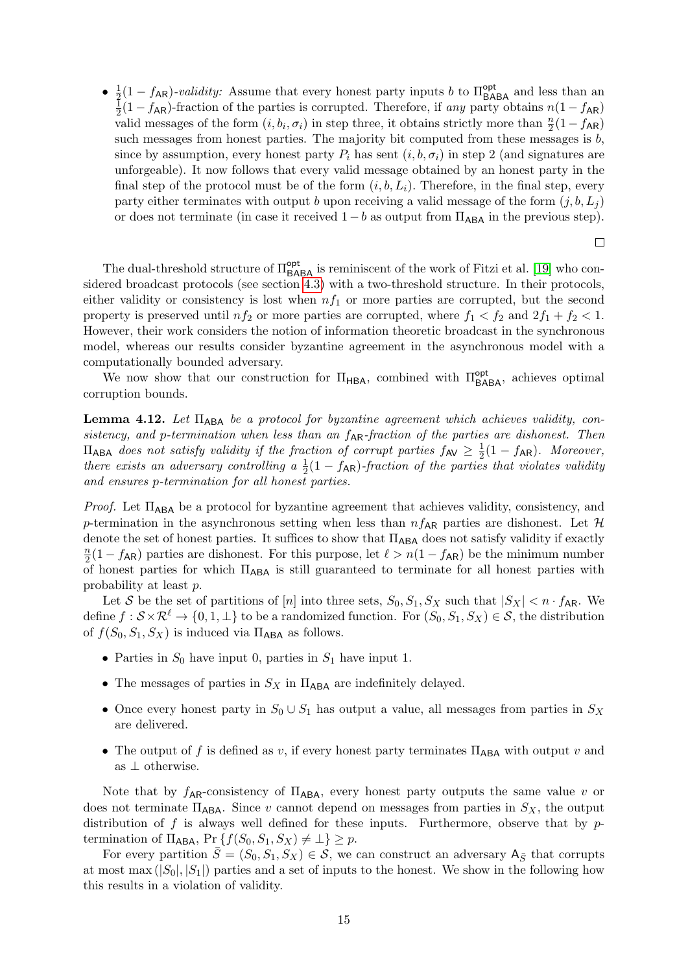$\bullet$   $\frac{1}{2}$  $\frac{1}{2}(1-f_{AR})$ -validity: Assume that every honest party inputs b to  $\Pi_{\text{BABA}}^{\text{opt}}$  and less than an 1  $\frac{1}{2}(1-f_{AR})$ -fraction of the parties is corrupted. Therefore, if any party obtains  $n(1-f_{AR})$ valid messages of the form  $(i, b_i, \sigma_i)$  in step three, it obtains strictly more than  $\frac{n}{2}(1 - f_{AR})$ such messages from honest parties. The majority bit computed from these messages is  $b$ , since by assumption, every honest party  $P_i$  has sent  $(i, b, \sigma_i)$  in step 2 (and signatures are unforgeable). It now follows that every valid message obtained by an honest party in the final step of the protocol must be of the form  $(i, b, L_i)$ . Therefore, in the final step, every party either terminates with output b upon receiving a valid message of the form  $(j, b, L<sub>i</sub>)$ or does not terminate (in case it received  $1 - b$  as output from  $\Pi_{ABA}$  in the previous step).

 $\Box$ 

The dual-threshold structure of  $\Pi_{\mathsf{BABA}}^{\mathsf{opt}}$  is reminiscent of the work of Fitzi et al. [\[19\]](#page-27-9) who considered broadcast protocols (see section [4.3\)](#page-16-0) with a two-threshold structure. In their protocols, either validity or consistency is lost when  $nf_1$  or more parties are corrupted, but the second property is preserved until  $nf_2$  or more parties are corrupted, where  $f_1 < f_2$  and  $2f_1 + f_2 < 1$ . However, their work considers the notion of information theoretic broadcast in the synchronous model, whereas our results consider byzantine agreement in the asynchronous model with a computationally bounded adversary.

We now show that our construction for  $\Pi_{\mathsf{HBA}}$ , combined with  $\Pi_{\mathsf{BABA}}^{\mathsf{opt}}$ , achieves optimal corruption bounds.

<span id="page-14-0"></span>Lemma 4.12. Let Π<sub>ABA</sub> be a protocol for byzantine agreement which achieves validity, consistency, and p-termination when less than an  $f_{AR}$ -fraction of the parties are dishonest. Then  $\Pi_{\sf ABA}$  does not satisfy validity if the fraction of corrupt parties  $f_{\sf AV} \geq \frac{1}{2}$  $\frac{1}{2}(1-f_{\mathsf{AR}})$ . Moreover, there exists an adversary controlling a  $\frac{1}{2}(1-f_{AR})$ -fraction of the parties that violates validity and ensures p-termination for all honest parties.

*Proof.* Let  $\Pi_{\mathsf{ABA}}$  be a protocol for byzantine agreement that achieves validity, consistency, and p-termination in the asynchronous setting when less than  $n f_{AR}$  parties are dishonest. Let H denote the set of honest parties. It suffices to show that  $\Pi_{\mathsf{ABA}}$  does not satisfy validity if exactly  $\overline{n}$  $\frac{n}{2}(1 - f_{AR})$  parties are dishonest. For this purpose, let  $\ell > n(1 - f_{AR})$  be the minimum number of honest parties for which  $\Pi_{\mathsf{ABA}}$  is still guaranteed to terminate for all honest parties with probability at least p.

Let S be the set of partitions of [n] into three sets,  $S_0, S_1, S_X$  such that  $|S_X| < n \cdot f_{AR}$ . We define  $f : \mathcal{S} \times \mathcal{R}^{\ell} \to \{0, 1, \perp\}$  to be a randomized function. For  $(S_0, S_1, S_X) \in \mathcal{S}$ , the distribution of  $f(S_0, S_1, S_X)$  is induced via  $\Pi_{\mathsf{ABA}}$  as follows.

- Parties in  $S_0$  have input 0, parties in  $S_1$  have input 1.
- The messages of parties in  $S_X$  in  $\Pi_{\mathsf{ABA}}$  are indefinitely delayed.
- Once every honest party in  $S_0 \cup S_1$  has output a value, all messages from parties in  $S_X$ are delivered.
- The output of f is defined as v, if every honest party terminates  $\Pi_{\mathsf{ABA}}$  with output v and as ⊥ otherwise.

Note that by  $f_{AR}$ -consistency of  $\Pi_{ABA}$ , every honest party outputs the same value v or does not terminate  $\Pi_{AB}$ . Since v cannot depend on messages from parties in  $S_X$ , the output distribution of f is always well defined for these inputs. Furthermore, observe that by  $p$ termination of  $\Pi_{\mathsf{ABA}}, \Pr \{f(S_0, S_1, S_X) \neq \bot\} \geq p.$ 

For every partition  $\bar{S} = (S_0, S_1, S_X) \in \mathcal{S}$ , we can construct an adversary  $A_{\bar{S}}$  that corrupts at most max  $(|S_0|, |S_1|)$  parties and a set of inputs to the honest. We show in the following how this results in a violation of validity.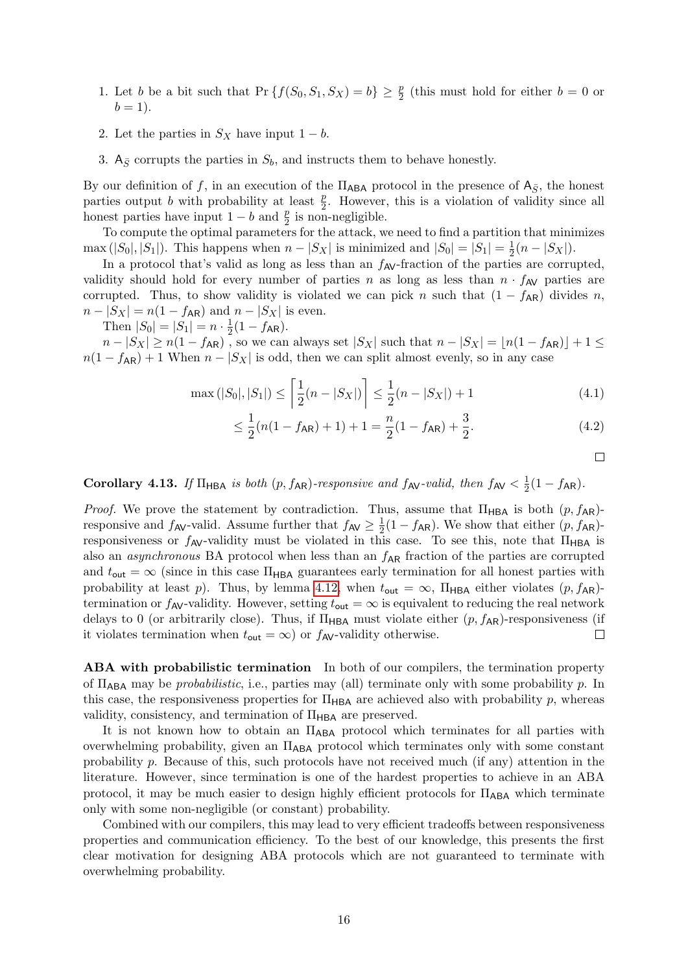- 1. Let b be a bit such that  $Pr\{f(S_0, S_1, S_X) = b\} \ge \frac{p}{2}$  (this must hold for either  $b = 0$  or  $b=1$ ).
- 2. Let the parties in  $S_X$  have input  $1 b$ .
- 3.  $A_{\bar{S}}$  corrupts the parties in  $S_b$ , and instructs them to behave honestly.

By our definition of f, in an execution of the  $\Pi_{ABA}$  protocol in the presence of  $A_{\bar{S}}$ , the honest parties output b with probability at least  $\frac{p}{2}$ . However, this is a violation of validity since all honest parties have input  $1 - b$  and  $\frac{p}{2}$  is non-negligible.

To compute the optimal parameters for the attack, we need to find a partition that minimizes max  $(|S_0|, |S_1|)$ . This happens when  $n - |S_X|$  is minimized and  $|S_0| = |S_1| = \frac{1}{2}$  $rac{1}{2}(n-|S_X|).$ 

In a protocol that's valid as long as less than an  $f_{AV}$ -fraction of the parties are corrupted, validity should hold for every number of parties n as long as less than  $n \cdot f_{AV}$  parties are corrupted. Thus, to show validity is violated we can pick n such that  $(1 - f_{AR})$  divides n,  $n - |S_X| = n(1 - f_{AR})$  and  $n - |S_X|$  is even.

Then  $|S_0| = |S_1| = n \cdot \frac{1}{2}$  $rac{1}{2}(1-f_{AR}).$ 

 $n - |S_X| \ge n(1 - f_{AR})$ , so we can always set  $|S_X|$  such that  $n - |S_X| = \lfloor n(1 - f_{AR}) \rfloor + 1 \le$  $n(1 - f_{AR}) + 1$  When  $n - |S_X|$  is odd, then we can split almost evenly, so in any case

$$
\max(|S_0|, |S_1|) \le \left\lceil \frac{1}{2}(n - |S_X|) \right\rceil \le \frac{1}{2}(n - |S_X|) + 1 \tag{4.1}
$$

$$
\leq \frac{1}{2}(n(1 - f_{\mathsf{AR}}) + 1) + 1 = \frac{n}{2}(1 - f_{\mathsf{AR}}) + \frac{3}{2}.\tag{4.2}
$$

 $\Box$ 

Corollary 4.13. If  $\Pi_{\text{HBA}}$  is both  $(p, f_{\text{AR}})$ -responsive and  $f_{\text{AV}}$ -valid, then  $f_{\text{AV}} < \frac{1}{2}$  $rac{1}{2}(1-f_{AR}).$ 

*Proof.* We prove the statement by contradiction. Thus, assume that  $\Pi_{\text{HBA}}$  is both  $(p, f_{\text{AR}})$ responsive and  $f_{AV}$ -valid. Assume further that  $f_{AV} \geq \frac{1}{2}$  $\frac{1}{2}(1-f_{\mathsf{AR}})$ . We show that either  $(p, f_{\mathsf{AR}})$ responsiveness or  $f_{AV}$ -validity must be violated in this case. To see this, note that  $\Pi_{HBA}$  is also an *asynchronous* BA protocol when less than an  $f_{AR}$  fraction of the parties are corrupted and  $t_{\text{out}} = \infty$  (since in this case  $\Pi_{\text{HBA}}$  guarantees early termination for all honest parties with probability at least p). Thus, by lemma [4.12,](#page-14-0) when  $t_{\text{out}} = \infty$ ,  $\Pi_{\text{HBA}}$  either violates  $(p, f_{\text{AR}})$ termination or  $f_{AV}$ -validity. However, setting  $t_{out} = \infty$  is equivalent to reducing the real network delays to 0 (or arbitrarily close). Thus, if  $\Pi_{\mathsf{HBA}}$  must violate either  $(p, f_{\mathsf{AR}})$ -responsiveness (if it violates termination when  $t_{\text{out}} = \infty$  or  $f_{\text{AV}}$ -validity otherwise.  $\Box$ 

ABA with probabilistic termination In both of our compilers, the termination property of  $\Pi_{\mathsf{ABA}}$  may be *probabilistic*, i.e., parties may (all) terminate only with some probability p. In this case, the responsiveness properties for  $\Pi_{\text{HBA}}$  are achieved also with probability p, whereas validity, consistency, and termination of  $\Pi_{\mathsf{HBA}}$  are preserved.

It is not known how to obtain an ΠABA protocol which terminates for all parties with overwhelming probability, given an  $\Pi_{\mathsf{ABA}}$  protocol which terminates only with some constant probability p. Because of this, such protocols have not received much (if any) attention in the literature. However, since termination is one of the hardest properties to achieve in an ABA protocol, it may be much easier to design highly efficient protocols for  $\Pi_{\rm ABA}$  which terminate only with some non-negligible (or constant) probability.

Combined with our compilers, this may lead to very efficient tradeoffs between responsiveness properties and communication efficiency. To the best of our knowledge, this presents the first clear motivation for designing ABA protocols which are not guaranteed to terminate with overwhelming probability.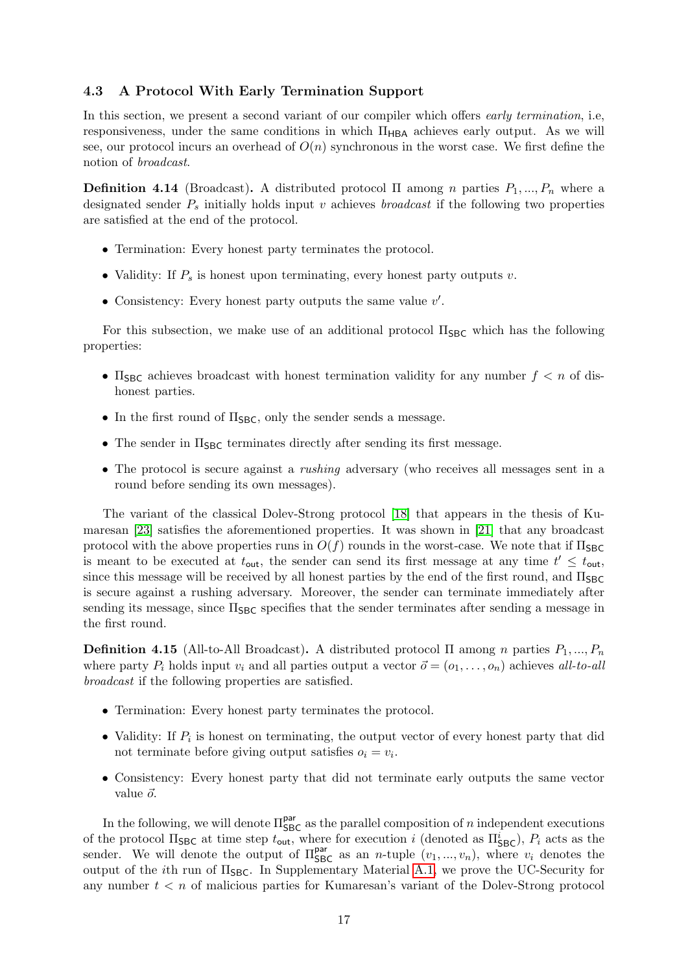#### <span id="page-16-0"></span>4.3 A Protocol With Early Termination Support

In this section, we present a second variant of our compiler which offers *early termination*, i.e, responsiveness, under the same conditions in which  $\Pi_{HBA}$  achieves early output. As we will see, our protocol incurs an overhead of  $O(n)$  synchronous in the worst case. We first define the notion of broadcast.

**Definition 4.14** (Broadcast). A distributed protocol  $\Pi$  among n parties  $P_1, ..., P_n$  where a designated sender  $P_s$  initially holds input v achieves *broadcast* if the following two properties are satisfied at the end of the protocol.

- Termination: Every honest party terminates the protocol.
- Validity: If  $P_s$  is honest upon terminating, every honest party outputs v.
- Consistency: Every honest party outputs the same value  $v'$ .

For this subsection, we make use of an additional protocol  $\Pi_{SBC}$  which has the following properties:

- $\Pi_{\text{SBC}}$  achieves broadcast with honest termination validity for any number  $f < n$  of dishonest parties.
- In the first round of  $\Pi_{SBC}$ , only the sender sends a message.
- The sender in  $\Pi_{SBC}$  terminates directly after sending its first message.
- The protocol is secure against a rushing adversary (who receives all messages sent in a round before sending its own messages).

The variant of the classical Dolev-Strong protocol [\[18\]](#page-27-10) that appears in the thesis of Kumaresan [\[23\]](#page-27-11) satisfies the aforementioned properties. It was shown in [\[21\]](#page-27-12) that any broadcast protocol with the above properties runs in  $O(f)$  rounds in the worst-case. We note that if  $\Pi_{SBC}$ is meant to be executed at  $t_{\text{out}}$ , the sender can send its first message at any time  $t' \leq t_{\text{out}}$ , since this message will be received by all honest parties by the end of the first round, and  $\Pi_{\text{SBC}}$ is secure against a rushing adversary. Moreover, the sender can terminate immediately after sending its message, since  $\Pi_{\text{SBC}}$  specifies that the sender terminates after sending a message in the first round.

<span id="page-16-1"></span>**Definition 4.15** (All-to-All Broadcast). A distributed protocol  $\Pi$  among n parties  $P_1, ..., P_n$ where party  $P_i$  holds input  $v_i$  and all parties output a vector  $\vec{o} = (o_1, \ldots, o_n)$  achieves all-to-all broadcast if the following properties are satisfied.

- Termination: Every honest party terminates the protocol.
- Validity: If  $P_i$  is honest on terminating, the output vector of every honest party that did not terminate before giving output satisfies  $o_i = v_i$ .
- Consistency: Every honest party that did not terminate early outputs the same vector value  $\vec{o}$ .

In the following, we will denote  $\Pi_{SBC}^{\text{par}}$  as the parallel composition of n independent executions of the protocol  $\Pi_{SBC}$  at time step  $t_{\text{out}}$ , where for execution i (denoted as  $\Pi_{SBC}^i$ ),  $P_i$  acts as the sender. We will denote the output of  $\Pi_{SBC}^{par}$  as an *n*-tuple  $(v_1, ..., v_n)$ , where  $v_i$  denotes the output of the *i*th run of  $\Pi_{SBC}$ . In Supplementary Material [A.1,](#page-28-4) we prove the UC-Security for any number  $t < n$  of malicious parties for Kumaresan's variant of the Dolev-Strong protocol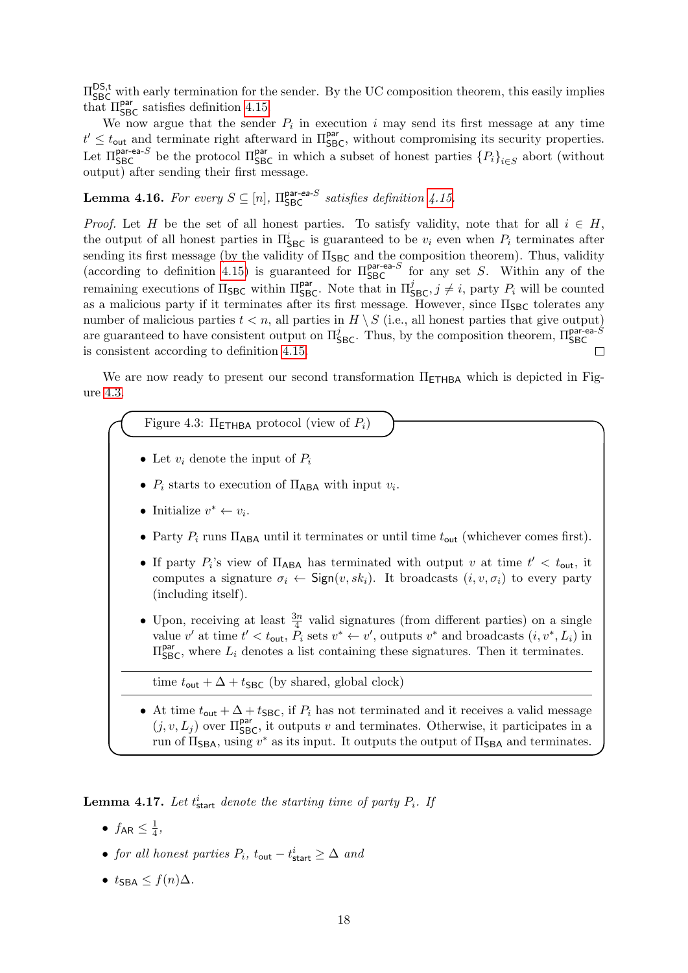$\Pi_{SBC}^{\text{DS,t}}$  with early termination for the sender. By the UC composition theorem, this easily implies that  $\Pi_{\text{SBC}}^{\text{par}}$  satisfies definition [4.15.](#page-16-1)

We now argue that the sender  $P_i$  in execution i may send its first message at any time  $t' \leq t_{\text{out}}$  and terminate right afterward in  $\Pi_{\text{SBC}}^{\text{par}}$ , without compromising its security properties. Let  $\Pi_{\text{SBC}}^{\text{par-ea-}S}$  be the protocol  $\Pi_{\text{SBC}}^{\text{par}}$  in which a subset of honest parties  $\{P_i\}_{i\in S}$  abort (without output) after sending their first message.

**Lemma 4.16.** For every  $S \subseteq [n]$ ,  $\Pi_{SBC}^{\text{par-ea-S}}$  satisfies definition [4.15.](#page-16-1)

*Proof.* Let H be the set of all honest parties. To satisfy validity, note that for all  $i \in H$ , the output of all honest parties in  $\Pi_{\text{SBC}}^i$  is guaranteed to be  $v_i$  even when  $P_i$  terminates after sending its first message (by the validity of  $\Pi_{SBC}$  and the composition theorem). Thus, validity (according to definition [4.15\)](#page-16-1) is guaranteed for  $\Pi_{SBC}^{par-ea-S}$  for any set S. Within any of the remaining executions of  $\Pi_{\text{SBC}}$  within  $\Pi_{\text{SBC}}^{\text{par}}$ . Note that in  $\Pi_{\text{SBC}}^j, j \neq i$ , party  $P_i$  will be counted as a malicious party if it terminates after its first message. However, since  $\Pi_{SBC}$  tolerates any number of malicious parties  $t < n$ , all parties in  $H \setminus S$  (i.e., all honest parties that give output) are guaranteed to have consistent output on  $\Pi_{\text{SBC}}^j$ . Thus, by the composition theorem,  $\Pi_{\text{SBC}}^{\text{par-ea-5}}$ is consistent according to definition [4.15.](#page-16-1)

<span id="page-17-0"></span>We are now ready to present our second transformation  $\Pi$ <sub>ETHBA</sub> which is depicted in Figure [4.3.](#page-17-0)

Figure 4.3:  $\Pi$ <sub>FTHBA</sub> protocol (view of  $P_i$ )

- Let  $v_i$  denote the input of  $P_i$
- $P_i$  starts to execution of  $\Pi_{\mathsf{ABA}}$  with input  $v_i$ .
- Initialize  $v^* \leftarrow v_i$ .
- Party  $P_i$  runs  $\Pi_{ABA}$  until it terminates or until time  $t_{out}$  (whichever comes first).
- If party  $P_i$ 's view of  $\Pi_{ABA}$  has terminated with output v at time  $t' < t_{\text{out}}$ , it computes a signature  $\sigma_i \leftarrow$  Sign $(v, sk_i)$ . It broadcasts  $(i, v, \sigma_i)$  to every party (including itself).
- Upon, receiving at least  $\frac{3n}{4}$  valid signatures (from different parties) on a single value v' at time  $t' < t_{\text{out}}, \tilde{P}_i$  sets  $v^* \leftarrow v'$ , outputs  $v^*$  and broadcasts  $(i, v^*, L_i)$  in  $\Pi_{\sf SBC}^{\sf par}$ , where  $L_i$  denotes a list containing these signatures. Then it terminates.

time  $t_{\text{out}} + \Delta + t_{\text{SBC}}$  (by shared, global clock)

• At time  $t_{\text{out}} + \Delta + t_{\text{SBC}}$ , if  $P_i$  has not terminated and it receives a valid message  $(j, v, L_j)$  over  $\Pi_{\text{SBC}}^{\text{par}}$ , it outputs v and terminates. Otherwise, it participates in a run of  $\Pi_{\text{SBA}}$ , using  $v^*$  as its input. It outputs the output of  $\Pi_{\text{SBA}}$  and terminates.

**Lemma 4.17.** Let  $t_{\text{start}}^i$  denote the starting time of party  $P_i$ . If

- $\bullet$   $f_{\sf AR} \leq \frac{1}{4}$  $\frac{1}{4}$ ,
- for all honest parties  $P_i$ ,  $t_{\text{out}} t_{\text{start}}^i \geq \Delta$  and
- $t_{\text{SRA}} \leq f(n)\Delta$ .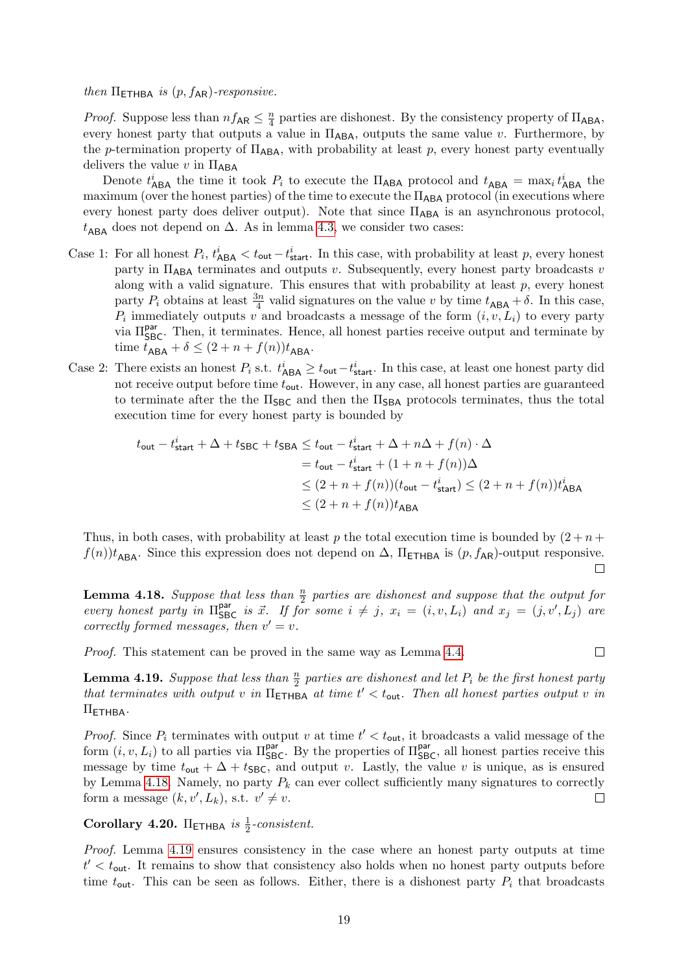then  $\Pi$ <sub>ETHBA</sub> is  $(p, f_{AR})$ -responsive.

*Proof.* Suppose less than  $nf_{AR} \leq \frac{n}{4}$  $\frac{n}{4}$  parties are dishonest. By the consistency property of  $\Pi_{\mathsf{ABA}}$ , every honest party that outputs a value in  $\Pi_{\text{ABA}}$ , outputs the same value v. Furthermore, by the p-termination property of  $\Pi_{\mathsf{ABA}}$ , with probability at least p, every honest party eventually delivers the value v in  $\Pi_{\mathsf{ABA}}$ 

Denote  $t_{\sf ABA}^i$  the time it took  $P_i$  to execute the  $\Pi_{\sf ABA}$  protocol and  $t_{\sf ABA} = \max_i t_{\sf ABA}^i$  the maximum (over the honest parties) of the time to execute the  $\Pi_{\mathsf{ABA}}$  protocol (in executions where every honest party does deliver output). Note that since  $\Pi_{ABA}$  is an asynchronous protocol,  $t<sub>ABA</sub>$  does not depend on  $\Delta$ . As in lemma [4.3,](#page-10-1) we consider two cases:

- Case 1: For all honest  $P_i$ ,  $t_{\text{ABA}}^i < t_{\text{out}} t_{\text{start}}^i$ . In this case, with probability at least p, every honest party in  $\Pi_{\mathsf{ABA}}$  terminates and outputs v. Subsequently, every honest party broadcasts v along with a valid signature. This ensures that with probability at least  $p$ , every honest party  $P_i$  obtains at least  $\frac{3n}{4}$  valid signatures on the value v by time  $t_{\mathsf{ABA}} + \delta$ . In this case,  $P_i$  immediately outputs v and broadcasts a message of the form  $(i, v, L_i)$  to every party via Π<sup>par</sup><sub>SBC</sub>. Then, it terminates. Hence, all honest parties receive output and terminate by time  $t_{\mathsf{ABA}} + \delta \leq (2+n+f(n))t_{\mathsf{ABA}}.$
- Case 2: There exists an honest  $P_i$  s.t.  $t_{\sf ABA}^i \ge t_{\sf out}-t_{\sf start}^i$ . In this case, at least one honest party did not receive output before time  $t_{\text{out}}$ . However, in any case, all honest parties are guaranteed to terminate after the the  $\Pi_{\text{SBC}}$  and then the  $\Pi_{\text{SBA}}$  protocols terminates, thus the total execution time for every honest party is bounded by

$$
t_{\text{out}} - t_{\text{start}}^i + \Delta + t_{\text{SBC}} + t_{\text{SBA}} \le t_{\text{out}} - t_{\text{start}}^i + \Delta + n\Delta + f(n) \cdot \Delta
$$
  
=  $t_{\text{out}} - t_{\text{start}}^i + (1 + n + f(n))\Delta$   

$$
\le (2 + n + f(n))(t_{\text{out}} - t_{\text{start}}^i) \le (2 + n + f(n))t_{\text{ABA}}^i
$$
  

$$
\le (2 + n + f(n))t_{\text{ABA}}
$$

Thus, in both cases, with probability at least p the total execution time is bounded by  $(2 + n +$  $f(n)$ t<sub>ARA</sub>. Since this expression does not depend on  $\Delta$ ,  $\Pi$ <sub>ETHBA</sub> is  $(p, f_{AR})$ -output responsive.  $\Box$ 

<span id="page-18-1"></span>**Lemma 4.18.** Suppose that less than  $\frac{n}{2}$  parties are dishonest and suppose that the output for every honest party in  $\Pi_{\text{SBC}}^{\text{par}}$  is  $\vec{x}$ . If for some  $i \neq j$ ,  $x_i = (i, v, L_i)$  and  $x_j = (j, v', L_j)$  are correctly formed messages, then  $v' = v$ .

Proof. This statement can be proved in the same way as Lemma [4.4.](#page-11-0)

<span id="page-18-2"></span>**Lemma 4.19.** Suppose that less than  $\frac{n}{2}$  parties are dishonest and let  $P_i$  be the first honest party that terminates with output v in  $\Pi$ <sub>ETHBA</sub> at time  $t' < t_{\text{out}}$ . Then all honest parties output v in  $\Pi$ <sub>ETHBA</sub>.

 $\Box$ 

*Proof.* Since  $P_i$  terminates with output v at time  $t' < t_{\text{out}}$ , it broadcasts a valid message of the form  $(i, v, L_i)$  to all parties via  $\Pi_{\text{SBC}}^{\text{par}}$ . By the properties of  $\Pi_{\text{SBC}}^{\text{par}}$ , all honest parties receive this message by time  $t_{\text{out}} + \Delta + t_{\text{SBC}}$ , and output v. Lastly, the value v is unique, as is ensured by Lemma [4.18.](#page-18-1) Namely, no party  $P_k$  can ever collect sufficiently many signatures to correctly form a message  $(k, v', L_k)$ , s.t.  $v' \neq v$ .  $\Box$ 

<span id="page-18-0"></span>Corollary 4.20. Π<sub>ΕΤΗΒΑ</sub> is  $\frac{1}{2}$ -consistent.

Proof. Lemma [4.19](#page-18-2) ensures consistency in the case where an honest party outputs at time  $t' < t_{\text{out}}$ . It remains to show that consistency also holds when no honest party outputs before time  $t_{\text{out}}$ . This can be seen as follows. Either, there is a dishonest party  $P_i$  that broadcasts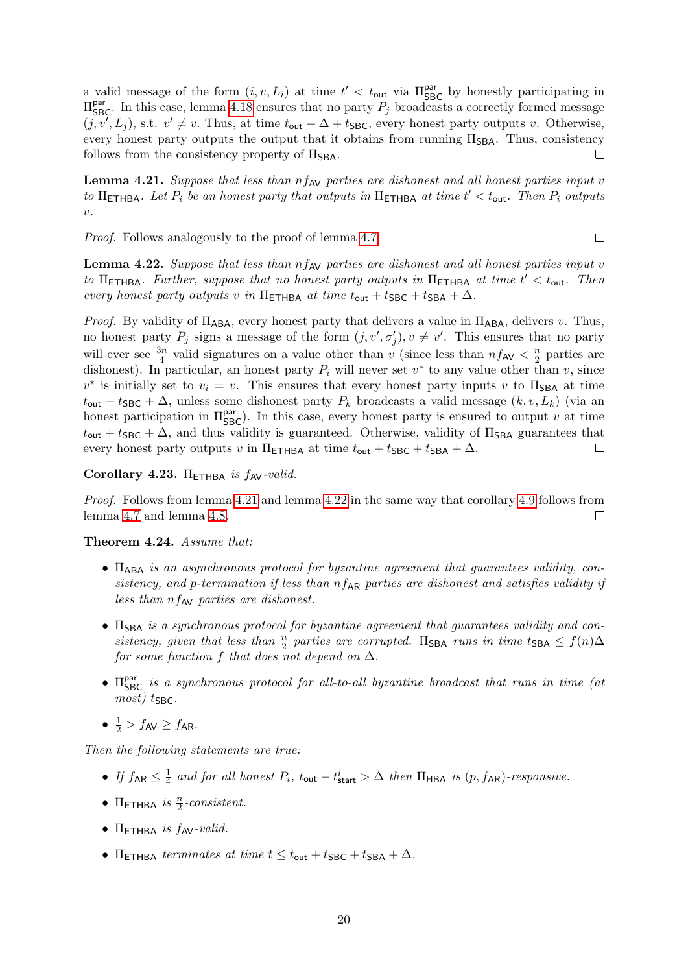a valid message of the form  $(i, v, L_i)$  at time  $t' < t_{\text{out}}$  via  $\Pi_{\text{SBC}}^{\text{par}}$  by honestly participating in  $\Pi_{\text{SBC}}^{\text{par}}$ . In this case, lemma [4.18](#page-18-1) ensures that no party  $P_j$  broadcasts a correctly formed message  $(j, v', L_j)$ , s.t.  $v' \neq v$ . Thus, at time  $t_{\text{out}} + \Delta + t_{\text{SBC}}$ , every honest party outputs v. Otherwise, every honest party outputs the output that it obtains from running  $\Pi_{\text{SBA}}$ . Thus, consistency follows from the consistency property of  $\Pi_{\text{SBA}}$ .  $\Box$ 

<span id="page-19-1"></span>**Lemma 4.21.** Suppose that less than  $nf_{AV}$  parties are dishonest and all honest parties input v to  $\Pi$ <sub>ETHBA</sub>. Let  $P_i$  be an honest party that outputs in  $\Pi$ <sub>ETHBA</sub> at time  $t' < t_{\text{out}}$ . Then  $P_i$  outputs  $\upsilon$ .

Proof. Follows analogously to the proof of lemma [4.7.](#page-12-1)

<span id="page-19-2"></span>**Lemma 4.22.** Suppose that less than  $nf_{AV}$  parties are dishonest and all honest parties input v to  $\Pi$ <sub>ETHBA</sub>. Further, suppose that no honest party outputs in  $\Pi$ <sub>ETHBA</sub> at time  $t' < t_{\text{out}}$ . Then every honest party outputs v in  $\Pi$ <sub>ETHBA</sub> at time  $t_{\text{out}} + t_{\text{SBC}} + t_{\text{SBA}} + \Delta$ .

 $\Box$ 

*Proof.* By validity of  $\Pi_{\mathsf{ABA}}$ , every honest party that delivers a value in  $\Pi_{\mathsf{ABA}}$ , delivers v. Thus, no honest party  $P_j$  signs a message of the form  $(j, v', \sigma'_j), v \neq v'$ . This ensures that no party will ever see  $\frac{3n}{4}$  valid signatures on a value other than v (since less than  $nf_{AV} < \frac{n}{2}$ )  $\frac{n}{2}$  parties are dishonest). In particular, an honest party  $P_i$  will never set  $v^*$  to any value other than  $v$ , since  $v^*$  is initially set to  $v_i = v$ . This ensures that every honest party inputs v to  $\Pi_{\text{SBA}}$  at time  $t_{\text{out}} + t_{\text{SBC}} + \Delta$ , unless some dishonest party  $P_k$  broadcasts a valid message  $(k, v, L_k)$  (via an honest participation in  $\Pi_{\text{SBC}}^{\text{par}}$ . In this case, every honest party is ensured to output v at time  $t_{\text{out}} + t_{\text{SBC}} + \Delta$ , and thus validity is guaranteed. Otherwise, validity of  $\Pi_{\text{SBA}}$  guarantees that every honest party outputs v in  $\Pi$ <sub>ETHBA</sub> at time  $t_{\text{out}} + t_{\text{SBC}} + t_{\text{SBA}} + \Delta$ .  $\Box$ 

#### Corollary 4.23.  $\Pi$ <sub>FTHBA</sub> is  $f_{AV}$ -valid.

Proof. Follows from lemma [4.21](#page-19-1) and lemma [4.22](#page-19-2) in the same way that corollary [4.9](#page-12-3) follows from lemma [4.7](#page-12-1) and lemma [4.8.](#page-12-2)  $\Box$ 

#### <span id="page-19-0"></span>Theorem 4.24. Assume that:

- $\Pi_{ABA}$  is an asynchronous protocol for byzantine agreement that guarantees validity, consistency, and p-termination if less than  $nf_{AR}$  parties are dishonest and satisfies validity if less than  $nf_{AV}$  parties are dishonest.
- $\Pi_{\text{SBA}}$  is a synchronous protocol for byzantine agreement that guarantees validity and consistency, given that less than  $\frac{n}{2}$  parties are corrupted.  $\Pi_{\text{SBA}}$  runs in time  $t_{\text{SBA}} \leq f(n) \Delta$ for some function f that does not depend on  $\Delta$ .
- $\Pi_{\text{SBC}}^{\text{par}}$  is a synchronous protocol for all-to-all byzantine broadcast that runs in time (at  $most)$  t<sub>SBC</sub>.
- $\frac{1}{2}$  >  $f_{AV} \ge f_{AR}$ .

Then the following statements are true:

- $\bullet$  If  $f_{\mathsf{AR}} \leq \frac{1}{4}$  $\frac{1}{4}$  and for all honest  $P_i$ ,  $t_{\text{out}} - t_{\text{start}}^i > \Delta$  then  $\Pi_{\text{HBA}}$  is  $(p, f_{\text{AR}})$ -responsive.
- $\Pi$ <sub>ETHBA</sub> is  $\frac{n}{2}$ -consistent.
- $\bullet$  Π<sub>ETHBA</sub> is  $f_{AV}$ -valid.
- Π<sub>ETHBA</sub> terminates at time  $t \leq t_{\text{out}} + t_{\text{SBC}} + t_{\text{SBA}} + \Delta$ .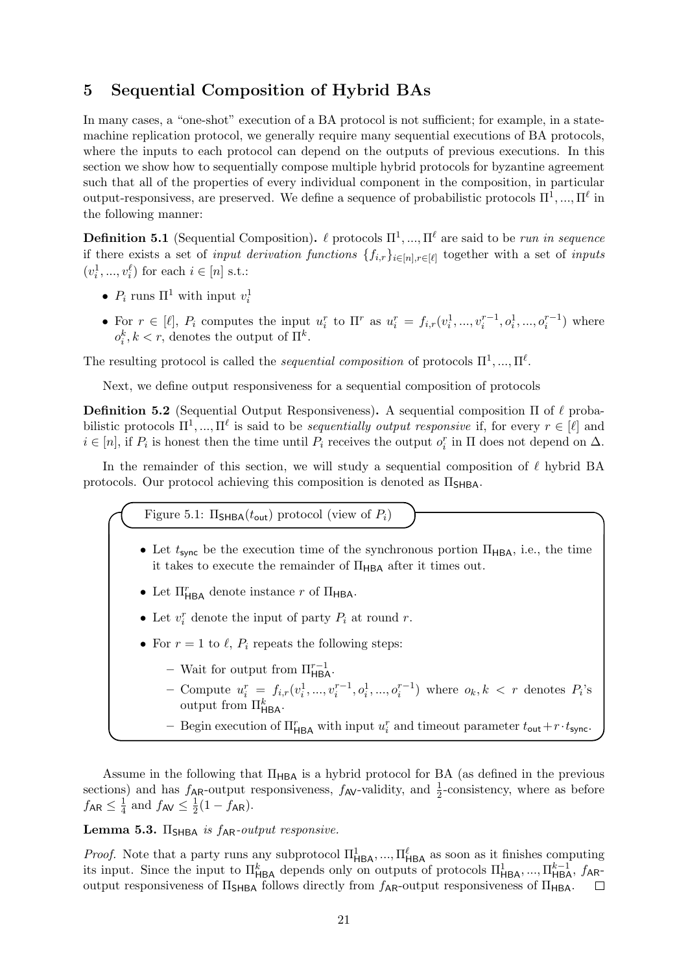# <span id="page-20-0"></span>5 Sequential Composition of Hybrid BAs

In many cases, a "one-shot" execution of a BA protocol is not sufficient; for example, in a statemachine replication protocol, we generally require many sequential executions of BA protocols, where the inputs to each protocol can depend on the outputs of previous executions. In this section we show how to sequentially compose multiple hybrid protocols for byzantine agreement such that all of the properties of every individual component in the composition, in particular output-responsivess, are preserved. We define a sequence of probabilistic protocols  $\Pi^1, ..., \Pi^\ell$  in the following manner:

**Definition 5.1** (Sequential Composition).  $\ell$  protocols  $\Pi^1, ..., \Pi^{\ell}$  are said to be run in sequence if there exists a set of *input derivation functions*  $\{f_{i,r}\}_{i\in[n],r\in[\ell]}$  together with a set of *inputs*  $(v_i^1, ..., v_i^{\ell})$  for each  $i \in [n]$  s.t.:

- $P_i$  runs  $\Pi^1$  with input  $v_i^1$
- For  $r \in [\ell], P_i$  computes the input  $u_i^r$  to  $\Pi^r$  as  $u_i^r = f_{i,r}(v_i^1, ..., v_i^{r-1}, o_i^1, ..., o_i^{r-1})$  where  $o_i^k, k < r$ , denotes the output of  $\Pi^k$ .

The resulting protocol is called the *sequential composition* of protocols  $\Pi^1, ..., \Pi^\ell$ .

Next, we define output responsiveness for a sequential composition of protocols

**Definition 5.2** (Sequential Output Responsiveness). A sequential composition  $\Pi$  of  $\ell$  probabilistic protocols  $\Pi^1, ..., \Pi^\ell$  is said to be *sequentially output responsive* if, for every  $r \in [\ell]$  and  $i \in [n]$ , if  $P_i$  is honest then the time until  $P_i$  receives the output  $o_i^r$  in  $\Pi$  does not depend on  $\Delta$ .

In the remainder of this section, we will study a sequential composition of  $\ell$  hybrid BA protocols. Our protocol achieving this composition is denoted as  $\Pi_{\text{SHBA}}$ .

Figure 5.1:  $\Pi_{\text{SHBA}}(t_{\text{out}})$  protocol (view of  $P_i$ )

- Let  $t_{\text{sync}}$  be the execution time of the synchronous portion  $\Pi_{\text{HBA}}$ , i.e., the time it takes to execute the remainder of  $\Pi_{\mathsf{HBA}}$  after it times out.
- Let  $\Pi_{\mathsf{HBA}}^r$  denote instance  $r$  of  $\Pi_{\mathsf{HBA}}$ .
- Let  $v_i^r$  denote the input of party  $P_i$  at round r.
- For  $r = 1$  to  $\ell$ ,  $P_i$  repeats the following steps:
	- Wait for output from  $\Pi_{\mathsf{HBA}}^{r-1}$ .
	- Compute  $u_i^r = f_{i,r}(v_i^1, ..., v_i^{r-1}, o_i^1, ..., o_i^{r-1})$  where  $o_k, k < r$  denotes  $P_i$ 's output from  $\Pi_{\mathsf{HBA}}^k$ .
	- Begin execution of  $\Pi_{\sf HBA}^r$  with input  $u_i^r$  and timeout parameter  $t_{\sf out}+r\cdot t_{\sf sync}$ .

Assume in the following that  $\Pi_{\mathsf{HBA}}$  is a hybrid protocol for BA (as defined in the previous sections) and has  $f_{AR}$ -output responsiveness,  $f_{AV}$ -validity, and  $\frac{1}{2}$ -consistency, where as before  $f_{\sf AR} \leq \frac{1}{4}$  $\frac{1}{4}$  and  $f_{AV} \leq \frac{1}{2}$  $\frac{1}{2}(1 - f_{\sf AR})$ .

# Lemma 5.3.  $\Pi_{SHBA}$  is  $f_{AR}$ -output responsive.

*Proof.* Note that a party runs any subprotocol  $\Pi_{HBA}^1, ..., \Pi_{HBA}^\ell$  as soon as it finishes computing its input. Since the input to  $\Pi_{\mathsf{HBA}}^k$  depends only on outputs of protocols  $\Pi_{\mathsf{HBA}}^1, ..., \Pi_{\mathsf{HBA}}^{k-1}, f_{\mathsf{AR}}$ output responsiveness of  $\Pi$ <sub>SHBA</sub> follows directly from  $f_{AR}$ -output responsiveness of  $\Pi_{HBA}$ .  $\Box$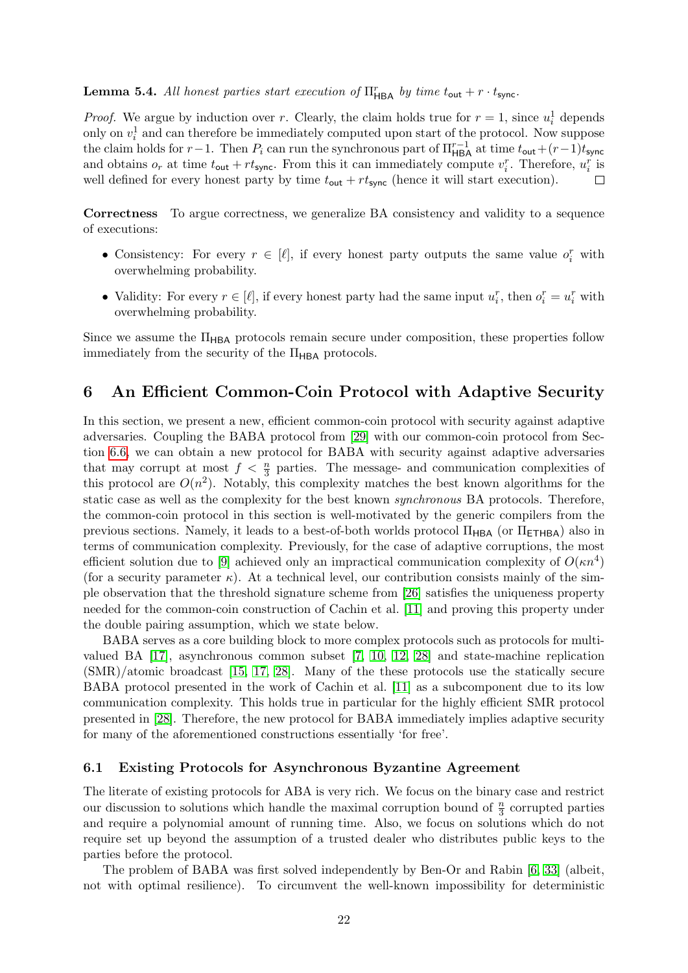# **Lemma 5.4.** All honest parties start execution of  $\Pi_{\mathsf{HBA}}^r$  by time  $t_{\mathsf{out}} + r \cdot t_{\mathsf{sync}}$ .

*Proof.* We argue by induction over r. Clearly, the claim holds true for  $r = 1$ , since  $u_i^1$  depends only on  $v_i^1$  and can therefore be immediately computed upon start of the protocol. Now suppose the claim holds for  $r-1$ . Then  $P_i$  can run the synchronous part of  $\prod_{\text{HBA}}^{r-1}$  at time  $t_{\text{out}}+(r-1)t_{\text{sync}}$ and obtains  $o_r$  at time  $t_{\text{out}} + rt_{\text{sync}}$ . From this it can immediately compute  $v_i^r$ . Therefore,  $u_i^r$  is well defined for every honest party by time  $t_{\text{out}} + rt_{\text{sync}}$  (hence it will start execution).  $\Box$ 

Correctness To argue correctness, we generalize BA consistency and validity to a sequence of executions:

- Consistency: For every  $r \in [\ell]$ , if every honest party outputs the same value  $o_i^r$  with overwhelming probability.
- Validity: For every  $r \in [\ell]$ , if every honest party had the same input  $u_i^r$ , then  $o_i^r = u_i^r$  with overwhelming probability.

Since we assume the  $\Pi_{\mathsf{HBA}}$  protocols remain secure under composition, these properties follow immediately from the security of the  $\Pi_{\mathsf{HBA}}$  protocols.

# <span id="page-21-0"></span>6 An Efficient Common-Coin Protocol with Adaptive Security

In this section, we present a new, efficient common-coin protocol with security against adaptive adversaries. Coupling the BABA protocol from [\[29\]](#page-28-5) with our common-coin protocol from Section [6.6,](#page-25-0) we can obtain a new protocol for BABA with security against adaptive adversaries that may corrupt at most  $f < \frac{n}{3}$  parties. The message- and communication complexities of this protocol are  $O(n^2)$ . Notably, this complexity matches the best known algorithms for the static case as well as the complexity for the best known synchronous BA protocols. Therefore, the common-coin protocol in this section is well-motivated by the generic compilers from the previous sections. Namely, it leads to a best-of-both worlds protocol  $\Pi_{\mathsf{HBA}}$  (or  $\Pi_{\mathsf{ETHBA}}$ ) also in terms of communication complexity. Previously, for the case of adaptive corruptions, the most efficient solution due to [\[9\]](#page-27-1) achieved only an impractical communication complexity of  $O(\kappa n^4)$ (for a security parameter  $\kappa$ ). At a technical level, our contribution consists mainly of the simple observation that the threshold signature scheme from [\[26\]](#page-28-6) satisfies the uniqueness property needed for the common-coin construction of Cachin et al. [\[11\]](#page-27-13) and proving this property under the double pairing assumption, which we state below.

BABA serves as a core building block to more complex protocols such as protocols for multivalued BA [\[17\]](#page-27-14), asynchronous common subset [\[7,](#page-26-3) [10,](#page-27-15) [12,](#page-27-16) [28\]](#page-28-7) and state-machine replication (SMR)/atomic broadcast [\[15,](#page-27-2) [17,](#page-27-14) [28\]](#page-28-7). Many of the these protocols use the statically secure BABA protocol presented in the work of Cachin et al. [\[11\]](#page-27-13) as a subcomponent due to its low communication complexity. This holds true in particular for the highly efficient SMR protocol presented in [\[28\]](#page-28-7). Therefore, the new protocol for BABA immediately implies adaptive security for many of the aforementioned constructions essentially 'for free'.

#### 6.1 Existing Protocols for Asynchronous Byzantine Agreement

The literate of existing protocols for ABA is very rich. We focus on the binary case and restrict our discussion to solutions which handle the maximal corruption bound of  $\frac{n}{3}$  corrupted parties and require a polynomial amount of running time. Also, we focus on solutions which do not require set up beyond the assumption of a trusted dealer who distributes public keys to the parties before the protocol.

The problem of BABA was first solved independently by Ben-Or and Rabin [\[6,](#page-26-4) [33\]](#page-28-8) (albeit, not with optimal resilience). To circumvent the well-known impossibility for deterministic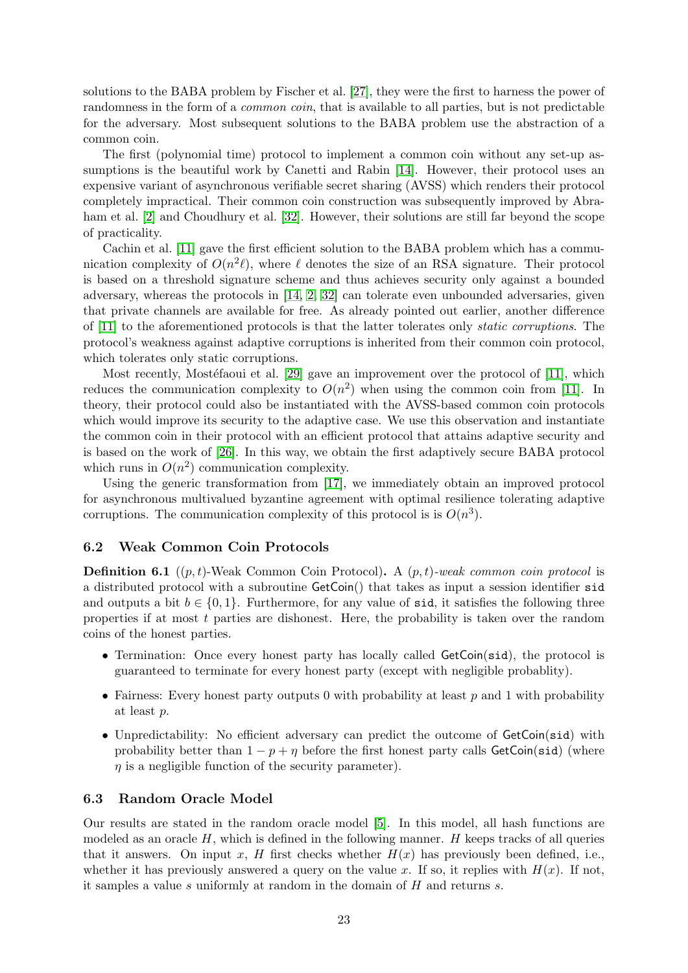solutions to the BABA problem by Fischer et al. [\[27\]](#page-28-9), they were the first to harness the power of randomness in the form of a *common coin*, that is available to all parties, but is not predictable for the adversary. Most subsequent solutions to the BABA problem use the abstraction of a common coin.

The first (polynomial time) protocol to implement a common coin without any set-up assumptions is the beautiful work by Canetti and Rabin [\[14\]](#page-27-17). However, their protocol uses an expensive variant of asynchronous verifiable secret sharing (AVSS) which renders their protocol completely impractical. Their common coin construction was subsequently improved by Abraham et al. [\[2\]](#page-26-5) and Choudhury et al. [\[32\]](#page-28-10). However, their solutions are still far beyond the scope of practicality.

Cachin et al. [\[11\]](#page-27-13) gave the first efficient solution to the BABA problem which has a communication complexity of  $O(n^2\ell)$ , where  $\ell$  denotes the size of an RSA signature. Their protocol is based on a threshold signature scheme and thus achieves security only against a bounded adversary, whereas the protocols in [\[14,](#page-27-17) [2,](#page-26-5) [32\]](#page-28-10) can tolerate even unbounded adversaries, given that private channels are available for free. As already pointed out earlier, another difference of [\[11\]](#page-27-13) to the aforementioned protocols is that the latter tolerates only static corruptions. The protocol's weakness against adaptive corruptions is inherited from their common coin protocol, which tolerates only static corruptions.

Most recently, Mostéfaoui et al.  $[29]$  gave an improvement over the protocol of  $[11]$ , which reduces the communication complexity to  $O(n^2)$  when using the common coin from [\[11\]](#page-27-13). In theory, their protocol could also be instantiated with the AVSS-based common coin protocols which would improve its security to the adaptive case. We use this observation and instantiate the common coin in their protocol with an efficient protocol that attains adaptive security and is based on the work of [\[26\]](#page-28-6). In this way, we obtain the first adaptively secure BABA protocol which runs in  $O(n^2)$  communication complexity.

Using the generic transformation from [\[17\]](#page-27-14), we immediately obtain an improved protocol for asynchronous multivalued byzantine agreement with optimal resilience tolerating adaptive corruptions. The communication complexity of this protocol is is  $O(n^3)$ .

#### 6.2 Weak Common Coin Protocols

**Definition 6.1** ((p, t)-Weak Common Coin Protocol). A (p, t)-weak common coin protocol is a distributed protocol with a subroutine GetCoin() that takes as input a session identifier sid and outputs a bit  $b \in \{0, 1\}$ . Furthermore, for any value of sid, it satisfies the following three properties if at most  $t$  parties are dishonest. Here, the probability is taken over the random coins of the honest parties.

- Termination: Once every honest party has locally called GetCoin(sid), the protocol is guaranteed to terminate for every honest party (except with negligible probablity).
- Fairness: Every honest party outputs 0 with probability at least  $p$  and 1 with probability at least p.
- Unpredictability: No efficient adversary can predict the outcome of GetCoin(sid) with probability better than  $1 - p + \eta$  before the first honest party calls GetCoin(sid) (where  $\eta$  is a negligible function of the security parameter).

#### 6.3 Random Oracle Model

Our results are stated in the random oracle model [\[5\]](#page-26-6). In this model, all hash functions are modeled as an oracle  $H$ , which is defined in the following manner.  $H$  keeps tracks of all queries that it answers. On input x, H first checks whether  $H(x)$  has previously been defined, i.e., whether it has previously answered a query on the value x. If so, it replies with  $H(x)$ . If not, it samples a value s uniformly at random in the domain of  $H$  and returns s.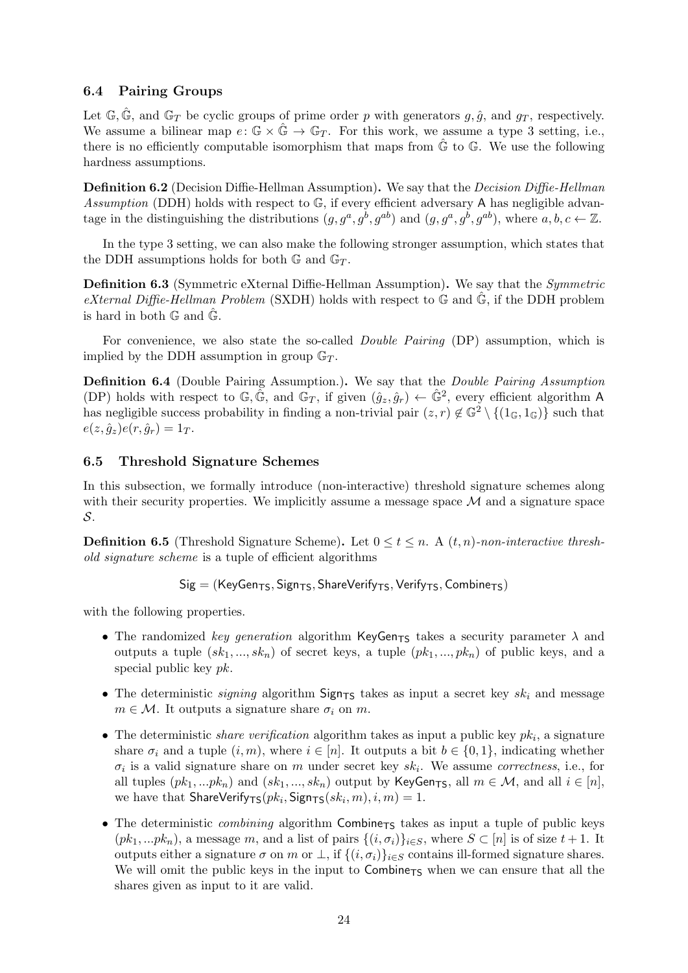### 6.4 Pairing Groups

Let  $\mathbb{G}, \hat{\mathbb{G}},$  and  $\mathbb{G}_T$  be cyclic groups of prime order p with generators g,  $\hat{g}$ , and  $g_T$ , respectively. We assume a bilinear map  $e: \mathbb{G} \times \mathbb{G} \to \mathbb{G}_T$ . For this work, we assume a type 3 setting, i.e., there is no efficiently computable isomorphism that maps from  $\hat{\mathbb{G}}$  to  $\mathbb{G}$ . We use the following hardness assumptions.

Definition 6.2 (Decision Diffie-Hellman Assumption). We say that the Decision Diffie-Hellman Assumption (DDH) holds with respect to  $\mathbb{G}$ , if every efficient adversary A has negligible advantage in the distinguishing the distributions  $(g, g^a, g^b, g^{ab})$  and  $(g, g^a, g^b, g^{ab})$ , where  $a, b, c \leftarrow \mathbb{Z}$ .

In the type 3 setting, we can also make the following stronger assumption, which states that the DDH assumptions holds for both  $\mathbb{G}$  and  $\mathbb{G}_T$ .

Definition 6.3 (Symmetric eXternal Diffie-Hellman Assumption). We say that the *Symmetric* eXternal Diffie-Hellman Problem (SXDH) holds with respect to  $\mathbb{G}$  and  $\hat{\mathbb{G}}$ , if the DDH problem is hard in both  $\mathbb{G}$  and  $\hat{\mathbb{G}}$ .

For convenience, we also state the so-called *Double Pairing* (DP) assumption, which is implied by the DDH assumption in group  $\mathbb{G}_T$ .

Definition 6.4 (Double Pairing Assumption.). We say that the Double Pairing Assumption (DP) holds with respect to  $\mathbb{G}, \tilde{\mathbb{G}},$  and  $\mathbb{G}_T$ , if given  $(\hat{g}_z, \hat{g}_r) \leftarrow \hat{\mathbb{G}}^2$ , every efficient algorithm A has negligible success probability in finding a non-trivial pair  $(z, r) \notin \mathbb{G}^2 \setminus \{(1_{\mathbb{G}}, 1_{\mathbb{G}})\}\$  such that  $e(z, \hat{q}_z)e(r, \hat{q}_r) = 1_T.$ 

#### 6.5 Threshold Signature Schemes

In this subsection, we formally introduce (non-interactive) threshold signature schemes along with their security properties. We implicitly assume a message space  $\mathcal M$  and a signature space S.

**Definition 6.5** (Threshold Signature Scheme). Let  $0 \le t \le n$ . A  $(t, n)$ -non-interactive threshold signature scheme is a tuple of efficient algorithms

 $\mathsf{Sig} = (\mathsf{KeyGen}_{\mathsf{TS}}, \mathsf{Sign}_{\mathsf{TS}}, \mathsf{ShareVerify}_{\mathsf{TS}}, \mathsf{Verify}_{\mathsf{TS}}, \mathsf{Combine}_{\mathsf{TS}})$ 

with the following properties.

- The randomized key generation algorithm KeyGen<sub>TS</sub> takes a security parameter  $\lambda$  and outputs a tuple  $(sk_1, ..., sk_n)$  of secret keys, a tuple  $(pk_1, ..., pk_n)$  of public keys, and a special public key pk.
- The deterministic *signing* algorithm  $Sign_{TS}$  takes as input a secret key  $sk_i$  and message  $m \in \mathcal{M}$ . It outputs a signature share  $\sigma_i$  on m.
- The deterministic *share verification* algorithm takes as input a public key  $pk_i$ , a signature share  $\sigma_i$  and a tuple  $(i, m)$ , where  $i \in [n]$ . It outputs a bit  $b \in \{0, 1\}$ , indicating whether  $\sigma_i$  is a valid signature share on m under secret key  $sk_i$ . We assume *correctness*, i.e., for all tuples  $(pk_1, ...pk_n)$  and  $(sk_1, ..., sk_n)$  output by KeyGen<sub>TS</sub>, all  $m \in \mathcal{M}$ , and all  $i \in [n]$ , we have that  $\mathsf{ShareVerify}_{\mathsf{TS}}(pk_i, \mathsf{Sign}_{\mathsf{TS}}(sk_i, m), i, m) = 1.$
- The deterministic *combining* algorithm  $Combin_{TS}$  takes as input a tuple of public keys  $(pk_1, ...pk_n)$ , a message m, and a list of pairs  $\{(i, \sigma_i)\}_{i \in S}$ , where  $S \subset [n]$  is of size  $t + 1$ . It outputs either a signature  $\sigma$  on m or  $\bot$ , if  $\{(i, \sigma_i)\}_{i \in S}$  contains ill-formed signature shares. We will omit the public keys in the input to  $\mathsf{Combine}_{\mathsf{TS}}$  when we can ensure that all the shares given as input to it are valid.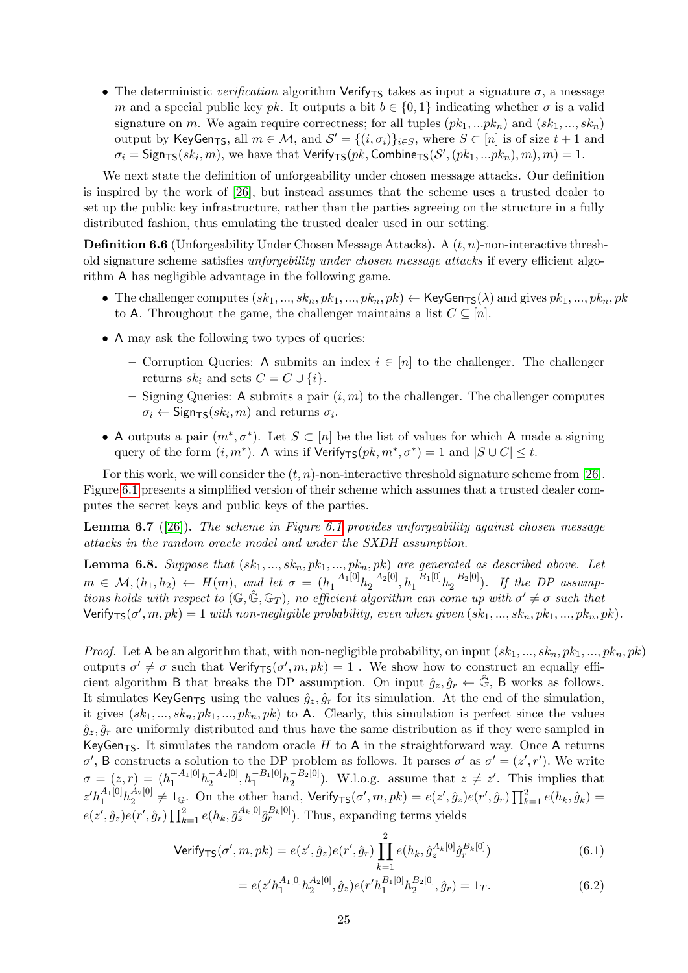• The deterministic verification algorithm Verify<sub>TS</sub> takes as input a signature  $\sigma$ , a message m and a special public key pk. It outputs a bit  $b \in \{0, 1\}$  indicating whether  $\sigma$  is a valid signature on m. We again require correctness; for all tuples  $(pk_1, ..., pk_n)$  and  $(sk_1, ..., sk_n)$ output by KeyGen<sub>TS</sub>, all  $m \in \mathcal{M}$ , and  $\mathcal{S}' = \{(i, \sigma_i)\}_{i \in S}$ , where  $S \subset [n]$  is of size  $t + 1$  and  $\sigma_i = \mathsf{Sign}_{\mathsf{TS}}(sk_i, m)$ , we have that  $\mathsf{Verify}_{\mathsf{TS}}(pk, \mathsf{Combine}_{\mathsf{TS}}(\mathcal{S}', (pk_1, ... pk_n), m), m) = 1$ .

We next state the definition of unforgeability under chosen message attacks. Our definition is inspired by the work of [\[26\]](#page-28-6), but instead assumes that the scheme uses a trusted dealer to set up the public key infrastructure, rather than the parties agreeing on the structure in a fully distributed fashion, thus emulating the trusted dealer used in our setting.

**Definition 6.6** (Unforgeability Under Chosen Message Attacks). A  $(t, n)$ -non-interactive threshold signature scheme satisfies unforgebility under chosen message attacks if every efficient algorithm A has negligible advantage in the following game.

- The challenger computes  $(sk_1, ..., sk_n, pk_1, ..., pk_n, pk) \leftarrow \textsf{KeyGen}_{\textsf{TS}}(\lambda)$  and gives  $pk_1, ..., pk_n, pk$ to A. Throughout the game, the challenger maintains a list  $C \subseteq [n]$ .
- A may ask the following two types of queries:
	- Corruption Queries: A submits an index  $i \in [n]$  to the challenger. The challenger returns  $sk_i$  and sets  $C = C \cup \{i\}.$
	- Signing Queries: A submits a pair  $(i, m)$  to the challenger. The challenger computes  $\sigma_i \leftarrow \mathsf{Sign}_{\mathsf{TS}}(sk_i, m)$  and returns  $\sigma_i$ .
- A outputs a pair  $(m^*, \sigma^*)$ . Let  $S \subset [n]$  be the list of values for which A made a signing query of the form  $(i, m^*)$ . A wins if  $Verify_{TS}(pk, m^*, \sigma^*) = 1$  and  $|S \cup C| \leq t$ .

For this work, we will consider the  $(t, n)$ -non-interactive threshold signature scheme from [\[26\]](#page-28-6). Figure [6.1](#page-25-1) presents a simplified version of their scheme which assumes that a trusted dealer computes the secret keys and public keys of the parties.

<span id="page-24-1"></span>**Lemma 6.7** ([\[26\]](#page-28-6)). The scheme in Figure [6.1](#page-25-1) provides unforgeability against chosen message attacks in the random oracle model and under the SXDH assumption.

<span id="page-24-0"></span>**Lemma 6.8.** Suppose that  $(s_{k1},...,s_{kn},pk_1,...,pk_n,pk)$  are generated as described above. Let  $m \in \mathcal{M}, (h_1, h_2) \leftarrow H(m), \text{ and let } \sigma = (h_1^{-A_1[0]} h_2^{-A_2[0]}).$  $\frac{-A_2[0]}{2}, h_1^{-B_1[0]}h_2^{-B_2[0]}$  $\binom{-D_2[0]}{2}$ . If the DP assumptions holds with respect to  $(\mathbb{G}, \hat{\mathbb{G}}, \mathbb{G}_T)$ , no efficient algorithm can come up with  $\sigma' \neq \sigma$  such that Verify<sub>TS</sub>( $\sigma', m, pk$ ) = 1 with non-negligible probability, even when given  $(sk_1, ..., sk_n, pk_1, ..., pk_n, pk)$ .

*Proof.* Let A be an algorithm that, with non-negligible probability, on input  $(s_{k1}, ..., s_{kn}, pk_1, ..., pk_n, pk)$ outputs  $\sigma' \neq \sigma$  such that  $Verify_{TS}(\sigma', m, pk) = 1$ . We show how to construct an equally efficient algorithm B that breaks the DP assumption. On input  $\hat{g}_z, \hat{g}_r \leftarrow \mathbb{G}$ , B works as follows. It simulates KeyGen<sub>TS</sub> using the values  $\hat{g}_z, \hat{g}_r$  for its simulation. At the end of the simulation, it gives  $(sk_1, ..., sk_n, pk_1, ..., pk_n, pk)$  to A. Clearly, this simulation is perfect since the values  $\hat{g}_z, \hat{g}_r$  are uniformly distributed and thus have the same distribution as if they were sampled in KeyGen<sub>TS</sub>. It simulates the random oracle H to A in the straightforward way. Once A returns σ', B constructs a solution to the DP problem as follows. It parses σ' as  $σ' = (z', r')$ . We write  $\sigma = (z,r) = (h_1^{-A_1[0]} h_2^{-A_2[0]}$  $\frac{-A_2[0]}{2}, h_1^{-B_1[0]}h_2^{-B_2[0]}$  $\binom{-B_2[0]}{2}$ . W.l.o.g. assume that  $z \neq z'$ . This implies that  $z'h_1^{A_1[0]}h_2^{A_2[0]}$  $\mathcal{L}^{A_2[0]}_2 \neq 1_{\mathbb{G}}$ . On the other hand,  $\mathsf{Verify}_{\mathsf{TS}}(\sigma',m,pk) = e(z',\hat{g}_z)e(r',\hat{g}_r)\prod_{k=1}^2 e(h_k,\hat{g}_k) = 0$  $e(z', \hat{g}_z)e(r', \hat{g}_r) \prod_{k=1}^2 e(h_k, \hat{g}_z^{A_k[0]}\hat{g}_r^{B_k[0]})$ . Thus, expanding terms yields

Verify<sub>TS</sub>
$$
(\sigma', m, pk) = e(z', \hat{g}_z) e(r', \hat{g}_r) \prod_{k=1}^{2} e(h_k, \hat{g}_z^{A_k[0]} \hat{g}_r^{B_k[0]})
$$
 (6.1)

$$
= e(z'h_1^{A_1[0]}h_2^{A_2[0]}, \hat{g}_z)e(r'h_1^{B_1[0]}h_2^{B_2[0]}, \hat{g}_r) = 1_T.
$$
\n(6.2)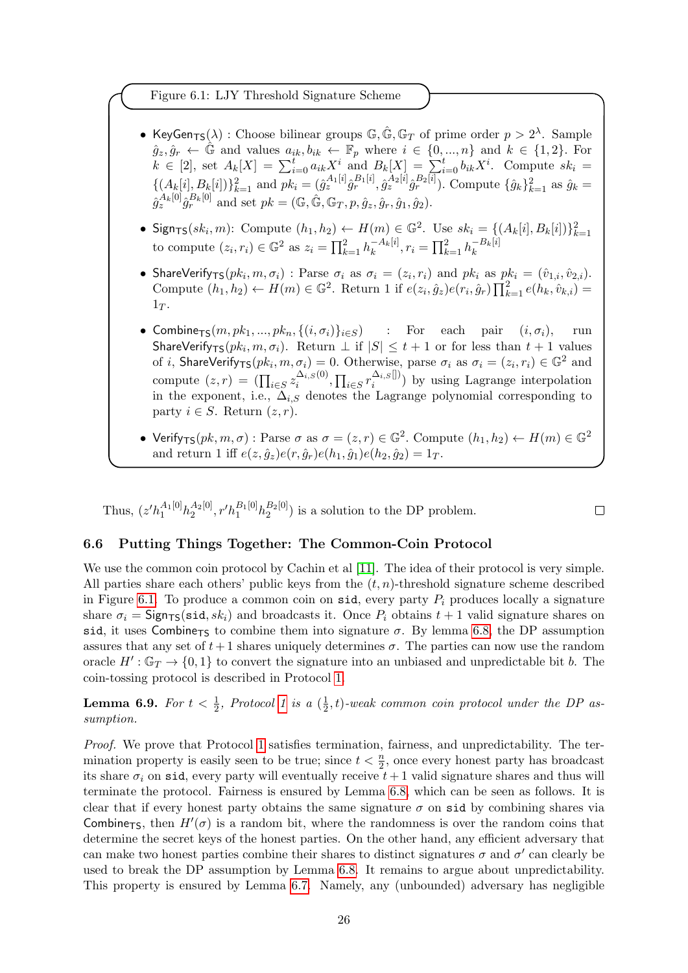<span id="page-25-1"></span>Figure 6.1: LJY Threshold Signature Scheme

- KeyGen<sub>TS</sub>( $\lambda$ ) : Choose bilinear groups  $\mathbb{G}, \hat{\mathbb{G}}, \mathbb{G}_T$  of prime order  $p > 2^{\lambda}$ . Sample  $\hat{g}_z, \hat{g}_r \leftarrow \hat{\mathbb{G}}$  and values  $a_{ik}, b_{ik} \leftarrow \mathbb{F}_p$  where  $i \in \{0, ..., n\}$  and  $k \in \{1, 2\}$ . For  $k \in [2]$ , set  $A_k[X] = \sum_{i=0}^t a_{ik} X^i$  and  $B_k[X] = \sum_{i=0}^t b_{ik} X^i$ . Compute  $sk_i =$  $\{(A_k[i], B_k[i])\}_{k=1}^2$  and  $pk_i = (\hat{g}_z^{A_1[i]}\hat{g}_r^{B_1[i]}, \hat{g}_z^{A_2[i]}\hat{g}_r^{B_2[i]})$ . Compute  $\{\hat{g}_k\}_{k=1}^2$  as  $\hat{g}_k =$  $\hat{g}_{z}^{A_{k}[0]}\hat{g}_{r}^{B_{k}[0]}$  and set  $pk = (\mathbb{G}, \hat{\mathbb{G}}, \mathbb{G}_{T}, p, \hat{g}_{z}, \hat{g}_{r}, \hat{g}_{1}, \hat{g}_{2}).$
- Sign<sub>TS</sub> $(sk_i, m)$ : Compute  $(h_1, h_2) \leftarrow H(m) \in \mathbb{G}^2$ . Use  $sk_i = \{(A_k[i], B_k[i])\}_{k=1}^2$ to compute  $(z_i, r_i) \in \mathbb{G}^2$  as  $z_i = \prod_{k=1}^2 h_k^{-A_k[i]}$  $k_k^{-A_k[i]}, r_i = \prod_{k=1}^2 h_k^{-B_k[i]}$ k
- ShareVerify<sub>TS</sub> $(pk_i, m, \sigma_i)$ : Parse  $\sigma_i$  as  $\sigma_i = (z_i, r_i)$  and  $pk_i$  as  $pk_i = (\hat{v}_{1,i}, \hat{v}_{2,i})$ . Compute  $(h_1, h_2) \leftarrow H(m) \in \mathbb{G}^2$ . Return 1 if  $e(z_i, \hat{g}_z)e(r_i, \hat{g}_r) \prod_{k=1}^2 e(h_k, \hat{v}_{k,i}) =$  $1_T$ .
- Combine<sub>TS</sub> $(m, pk_1, ..., pk_n, \{(i, \sigma_i)\}_{i \in S})$  : For each pair  $(i, \sigma_i)$ , run ShareVerify<sub>TS</sub>( $pk_i, m, \sigma_i$ ). Return  $\perp$  if  $|S| \leq t+1$  or for less than  $t+1$  values of *i*, ShareVerify<sub>TS</sub> $(pk_i, m, \sigma_i) = 0$ . Otherwise, parse  $\sigma_i$  as  $\sigma_i = (z_i, r_i) \in \mathbb{G}^2$  and compute  $(z,r) = (\prod_{i \in S} z_i^{\Delta_{i,S}(0)})$  $\prod_{i \in S} \sum_{i \in S} \sum_{i}^{\Delta_{i,S}[]}$  $\binom{\Delta_i, S_{\text{U}}}{i}$  by using Lagrange interpolation in the exponent, i.e.,  $\Delta_{i,S}$  denotes the Lagrange polynomial corresponding to party  $i \in S$ . Return  $(z, r)$ .
- Verify<sub>TS</sub> $(pk, m, \sigma)$ : Parse  $\sigma$  as  $\sigma = (z, r) \in \mathbb{G}^2$ . Compute  $(h_1, h_2) \leftarrow H(m) \in \mathbb{G}^2$ and return 1 iff  $e(z, \hat{g}_z)e(r, \hat{g}_r)e(h_1, \hat{g}_1)e(h_2, \hat{g}_2) = 1_T$ .

Thus,  $(z'h_1^{A_1[0]}h_2^{A_2[0]}$  $\frac{A_2[0]}{2}$ ,  $r'h_1^{B_1[0]}h_2^{B_2[0]}$  $\binom{D_2[0]}{2}$  is a solution to the DP problem.

# $\Box$

# <span id="page-25-0"></span>6.6 Putting Things Together: The Common-Coin Protocol

We use the common coin protocol by Cachin et al [\[11\]](#page-27-13). The idea of their protocol is very simple. All parties share each others' public keys from the  $(t, n)$ -threshold signature scheme described in Figure [6.1.](#page-25-1) To produce a common coin on sid, every party  $P_i$  produces locally a signature share  $\sigma_i = \text{Sign}_{TS}(\text{sid}, sk_i)$  and broadcasts it. Once  $P_i$  obtains  $t + 1$  valid signature shares on sid, it uses Combine<sub>TS</sub> to combine them into signature  $\sigma$ . By lemma [6.8,](#page-24-0) the DP assumption assures that any set of  $t+1$  shares uniquely determines  $\sigma$ . The parties can now use the random oracle  $H': \mathbb{G}_T \to \{0,1\}$  to convert the signature into an unbiased and unpredictable bit b. The coin-tossing protocol is described in Protocol [1.](#page-26-7)

**Lemma 6.9.** For  $t < \frac{1}{2}$ , Protocol [1](#page-26-7) is a  $(\frac{1}{2})$  $(\frac{1}{2}, t)$ -weak common coin protocol under the DP assumption.

Proof. We prove that Protocol [1](#page-26-7) satisfies termination, fairness, and unpredictability. The termination property is easily seen to be true; since  $t < \frac{n}{2}$ , once every honest party has broadcast its share  $\sigma_i$  on sid, every party will eventually receive  $t+1$  valid signature shares and thus will terminate the protocol. Fairness is ensured by Lemma [6.8,](#page-24-0) which can be seen as follows. It is clear that if every honest party obtains the same signature  $\sigma$  on sid by combining shares via Combine<sub>TS</sub>, then  $H'(\sigma)$  is a random bit, where the randomness is over the random coins that determine the secret keys of the honest parties. On the other hand, any efficient adversary that can make two honest parties combine their shares to distinct signatures  $\sigma$  and  $\sigma'$  can clearly be used to break the DP assumption by Lemma [6.8.](#page-24-0) It remains to argue about unpredictability. This property is ensured by Lemma [6.7.](#page-24-1) Namely, any (unbounded) adversary has negligible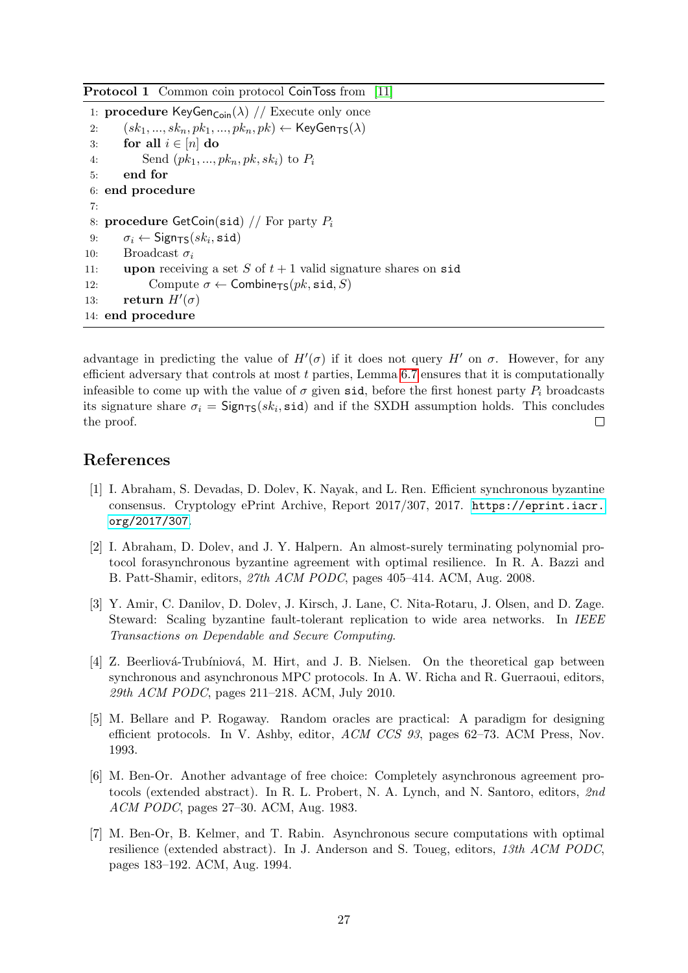<span id="page-26-7"></span>Protocol 1 Common coin protocol CoinToss from [\[11\]](#page-27-13)

```
1: procedure KeyGen<sub>Coin</sub>(\lambda) // Execute only once
2: (sk_1, ..., sk_n, pk_1, ..., pk_n, pk) \leftarrow \text{KeyGen}_{\text{TS}}(\lambda)3: for all i \in [n] do
4: Send (pk_1, ..., pk_n, pk, sk_i) to P_i5: end for
6: end procedure
7:
8: procedure GetCoin(sid) // For party P_i9: \sigma_i \leftarrow \mathsf{Sign}_{\mathsf{TS}}(sk_i, \mathtt{sid})10: Broadcast \sigma_i11: upon receiving a set S of t + 1 valid signature shares on sid
12: Compute \sigma \leftarrow Combine<sub>TS</sub>(pk, \text{sid}, S)13: return H'(\sigma)14: end procedure
```
advantage in predicting the value of  $H'(\sigma)$  if it does not query  $H'$  on  $\sigma$ . However, for any efficient adversary that controls at most t parties, Lemma [6.7](#page-24-1) ensures that it is computationally infeasible to come up with the value of  $\sigma$  given sid, before the first honest party  $P_i$  broadcasts its signature share  $\sigma_i = \text{Sign}_{TS}(sk_i, \text{sid})$  and if the SXDH assumption holds. This concludes the proof.  $\Box$ 

# References

- <span id="page-26-2"></span>[1] I. Abraham, S. Devadas, D. Dolev, K. Nayak, and L. Ren. Efficient synchronous byzantine consensus. Cryptology ePrint Archive, Report 2017/307, 2017. [https://eprint.iacr.](https://eprint.iacr.org/2017/307) [org/2017/307](https://eprint.iacr.org/2017/307).
- <span id="page-26-5"></span>[2] I. Abraham, D. Dolev, and J. Y. Halpern. An almost-surely terminating polynomial protocol forasynchronous byzantine agreement with optimal resilience. In R. A. Bazzi and B. Patt-Shamir, editors, 27th ACM PODC, pages 405–414. ACM, Aug. 2008.
- <span id="page-26-0"></span>[3] Y. Amir, C. Danilov, D. Dolev, J. Kirsch, J. Lane, C. Nita-Rotaru, J. Olsen, and D. Zage. Steward: Scaling byzantine fault-tolerant replication to wide area networks. In IEEE Transactions on Dependable and Secure Computing.
- <span id="page-26-1"></span>[4] Z. Beerliová-Trubíniová, M. Hirt, and J. B. Nielsen. On the theoretical gap between synchronous and asynchronous MPC protocols. In A. W. Richa and R. Guerraoui, editors, 29th ACM PODC, pages 211–218. ACM, July 2010.
- <span id="page-26-6"></span>[5] M. Bellare and P. Rogaway. Random oracles are practical: A paradigm for designing efficient protocols. In V. Ashby, editor, ACM CCS 93, pages 62–73. ACM Press, Nov. 1993.
- <span id="page-26-4"></span>[6] M. Ben-Or. Another advantage of free choice: Completely asynchronous agreement protocols (extended abstract). In R. L. Probert, N. A. Lynch, and N. Santoro, editors, 2nd ACM PODC, pages 27–30. ACM, Aug. 1983.
- <span id="page-26-3"></span>[7] M. Ben-Or, B. Kelmer, and T. Rabin. Asynchronous secure computations with optimal resilience (extended abstract). In J. Anderson and S. Toueg, editors, 13th ACM PODC, pages 183–192. ACM, Aug. 1994.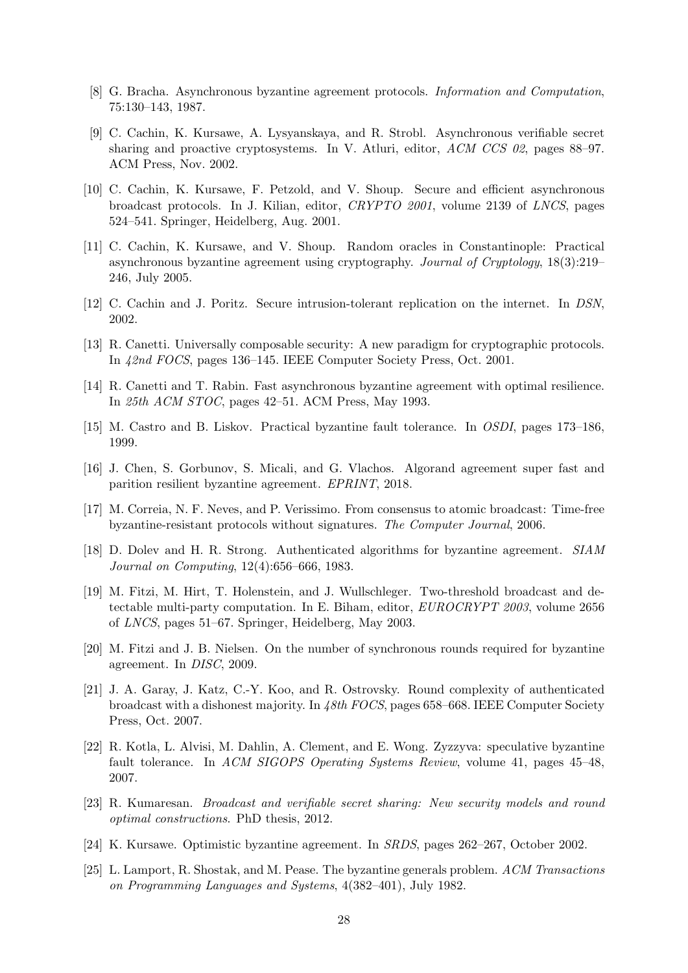- <span id="page-27-7"></span>[8] G. Bracha. Asynchronous byzantine agreement protocols. Information and Computation, 75:130–143, 1987.
- <span id="page-27-1"></span>[9] C. Cachin, K. Kursawe, A. Lysyanskaya, and R. Strobl. Asynchronous verifiable secret sharing and proactive cryptosystems. In V. Atluri, editor, ACM CCS 02, pages 88–97. ACM Press, Nov. 2002.
- <span id="page-27-15"></span>[10] C. Cachin, K. Kursawe, F. Petzold, and V. Shoup. Secure and efficient asynchronous broadcast protocols. In J. Kilian, editor, CRYPTO 2001, volume 2139 of LNCS, pages 524–541. Springer, Heidelberg, Aug. 2001.
- <span id="page-27-13"></span>[11] C. Cachin, K. Kursawe, and V. Shoup. Random oracles in Constantinople: Practical asynchronous byzantine agreement using cryptography. Journal of Cryptology, 18(3):219– 246, July 2005.
- <span id="page-27-16"></span>[12] C. Cachin and J. Poritz. Secure intrusion-tolerant replication on the internet. In DSN, 2002.
- <span id="page-27-8"></span>[13] R. Canetti. Universally composable security: A new paradigm for cryptographic protocols. In 42nd FOCS, pages 136–145. IEEE Computer Society Press, Oct. 2001.
- <span id="page-27-17"></span>[14] R. Canetti and T. Rabin. Fast asynchronous byzantine agreement with optimal resilience. In 25th ACM STOC, pages 42–51. ACM Press, May 1993.
- <span id="page-27-2"></span>[15] M. Castro and B. Liskov. Practical byzantine fault tolerance. In OSDI, pages 173–186, 1999.
- <span id="page-27-5"></span>[16] J. Chen, S. Gorbunov, S. Micali, and G. Vlachos. Algorand agreement super fast and parition resilient byzantine agreement. EPRINT, 2018.
- <span id="page-27-14"></span>[17] M. Correia, N. F. Neves, and P. Verissimo. From consensus to atomic broadcast: Time-free byzantine-resistant protocols without signatures. The Computer Journal, 2006.
- <span id="page-27-10"></span>[18] D. Dolev and H. R. Strong. Authenticated algorithms for byzantine agreement. SIAM Journal on Computing, 12(4):656–666, 1983.
- <span id="page-27-9"></span>[19] M. Fitzi, M. Hirt, T. Holenstein, and J. Wullschleger. Two-threshold broadcast and detectable multi-party computation. In E. Biham, editor, EUROCRYPT 2003, volume 2656 of LNCS, pages 51–67. Springer, Heidelberg, May 2003.
- <span id="page-27-6"></span>[20] M. Fitzi and J. B. Nielsen. On the number of synchronous rounds required for byzantine agreement. In DISC, 2009.
- <span id="page-27-12"></span>[21] J. A. Garay, J. Katz, C.-Y. Koo, and R. Ostrovsky. Round complexity of authenticated broadcast with a dishonest majority. In 48th FOCS, pages 658–668. IEEE Computer Society Press, Oct. 2007.
- <span id="page-27-3"></span>[22] R. Kotla, L. Alvisi, M. Dahlin, A. Clement, and E. Wong. Zyzzyva: speculative byzantine fault tolerance. In ACM SIGOPS Operating Systems Review, volume 41, pages 45–48, 2007.
- <span id="page-27-11"></span>[23] R. Kumaresan. Broadcast and verifiable secret sharing: New security models and round optimal constructions. PhD thesis, 2012.
- <span id="page-27-4"></span>[24] K. Kursawe. Optimistic byzantine agreement. In SRDS, pages 262–267, October 2002.
- <span id="page-27-0"></span>[25] L. Lamport, R. Shostak, and M. Pease. The byzantine generals problem. ACM Transactions on Programming Languages and Systems, 4(382–401), July 1982.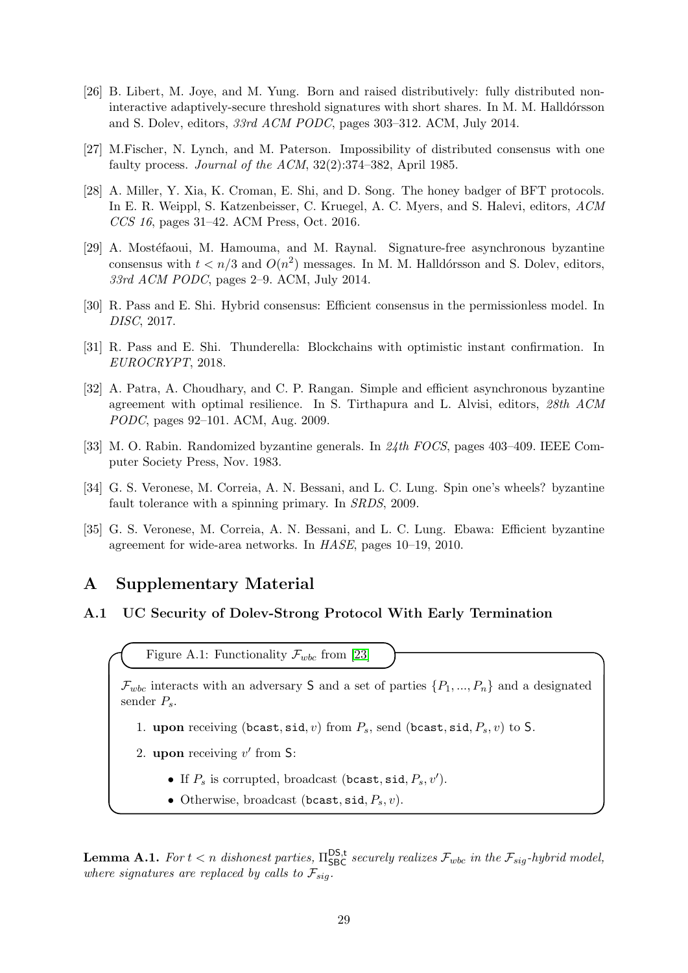- <span id="page-28-6"></span>[26] B. Libert, M. Joye, and M. Yung. Born and raised distributively: fully distributed noninteractive adaptively-secure threshold signatures with short shares. In M. M. Halldórsson and S. Dolev, editors, 33rd ACM PODC, pages 303–312. ACM, July 2014.
- <span id="page-28-9"></span>[27] M.Fischer, N. Lynch, and M. Paterson. Impossibility of distributed consensus with one faulty process. Journal of the ACM, 32(2):374–382, April 1985.
- <span id="page-28-7"></span>[28] A. Miller, Y. Xia, K. Croman, E. Shi, and D. Song. The honey badger of BFT protocols. In E. R. Weippl, S. Katzenbeisser, C. Kruegel, A. C. Myers, and S. Halevi, editors, ACM CCS 16, pages 31–42. ACM Press, Oct. 2016.
- <span id="page-28-5"></span>[29] A. Mostéfaoui, M. Hamouma, and M. Raynal. Signature-free asynchronous byzantine consensus with  $t < n/3$  and  $O(n^2)$  messages. In M. M. Halldórsson and S. Dolev, editors, 33rd ACM PODC, pages 2–9. ACM, July 2014.
- <span id="page-28-0"></span>[30] R. Pass and E. Shi. Hybrid consensus: Efficient consensus in the permissionless model. In DISC, 2017.
- <span id="page-28-1"></span>[31] R. Pass and E. Shi. Thunderella: Blockchains with optimistic instant confirmation. In EUROCRYPT, 2018.
- <span id="page-28-10"></span>[32] A. Patra, A. Choudhary, and C. P. Rangan. Simple and efficient asynchronous byzantine agreement with optimal resilience. In S. Tirthapura and L. Alvisi, editors, 28th ACM PODC, pages 92–101. ACM, Aug. 2009.
- <span id="page-28-8"></span>[33] M. O. Rabin. Randomized byzantine generals. In 24th FOCS, pages 403–409. IEEE Computer Society Press, Nov. 1983.
- <span id="page-28-2"></span>[34] G. S. Veronese, M. Correia, A. N. Bessani, and L. C. Lung. Spin one's wheels? byzantine fault tolerance with a spinning primary. In SRDS, 2009.
- <span id="page-28-3"></span>[35] G. S. Veronese, M. Correia, A. N. Bessani, and L. C. Lung. Ebawa: Efficient byzantine agreement for wide-area networks. In HASE, pages 10–19, 2010.

# A Supplementary Material

### <span id="page-28-4"></span>A.1 UC Security of Dolev-Strong Protocol With Early Termination

Figure A.1: Functionality  $\mathcal{F}_{wbc}$  from [\[23\]](#page-27-11)

 $\mathcal{F}_{wbc}$  interacts with an adversary S and a set of parties  $\{P_1, ..., P_n\}$  and a designated sender  $P_s$ .

- 1. upon receiving (bcast, sid, v) from  $P_s$ , send (bcast, sid,  $P_s$ , v) to S.
- 2. upon receiving  $v'$  from S:
	- If  $P_s$  is corrupted, broadcast (bcast, sid,  $P_s$ , v').
	- Otherwise, broadcast (bcast, sid,  $P_s$ , v).

**Lemma A.1.** For  $t < n$  dishonest parties,  $\Pi_{SBC}^{DS,t}$  securely realizes  $\mathcal{F}_{wbc}$  in the  $\mathcal{F}_{sig}$ -hybrid model, where signatures are replaced by calls to  $\mathcal{F}_{\text{sig}}$ .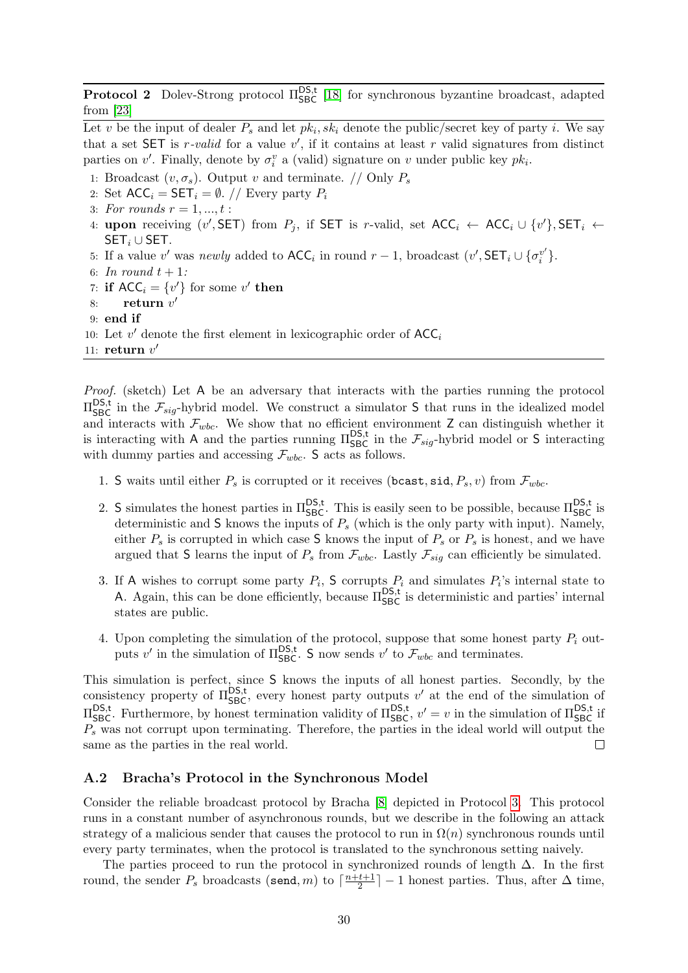**Protocol 2** Dolev-Strong protocol  $\Pi_{SBC}^{DS,t}$  [\[18\]](#page-27-10) for synchronous byzantine broadcast, adapted from [\[23\]](#page-27-11)

Let v be the input of dealer  $P_s$  and let  $pk_i, sk_i$  denote the public/secret key of party i. We say that a set SET is r-valid for a value  $v'$ , if it contains at least r valid signatures from distinct parties on  $v'$ . Finally, denote by  $\sigma_i^v$  a (valid) signature on v under public key  $pk_i$ .

1: Broadcast  $(v, \sigma_s)$ . Output v and terminate. // Only  $P_s$ 

2: Set  $ACC_i = SET_i = \emptyset$ . // Every party  $P_i$ 

- 3: For rounds  $r = 1, ..., t$ :
- 4: upon receiving  $(v', SET)$  from  $P_j$ , if SET is r-valid, set  $ACC_i \leftarrow ACC_i \cup \{v'\}$ , SET<sub>i</sub>  $\leftarrow$  $SET_i \cup SET$ .
- 5: If a value v' was newly added to  $\mathsf{ACC}_i$  in round  $r-1$ , broadcast  $(v', \mathsf{SET}_i \cup \{\sigma_i^{v'}\})$  $\begin{matrix} v' \\ i \end{matrix}$ .
- 6: In round  $t + 1$ :
- 7: if  $ACC_i = \{v'\}$  for some v' then
- 8: return  $v'$
- 9: end if

10: Let  $v'$  denote the first element in lexicographic order of  $\mathsf{ACC}_i$ 

11: return  $v'$ 

Proof. (sketch) Let A be an adversary that interacts with the parties running the protocol  $\Pi_{\text{SBC}}^{\text{DS,t}}$  in the  $\mathcal{F}_{sig}$ -hybrid model. We construct a simulator S that runs in the idealized model and interacts with  $\mathcal{F}_{wbc}$ . We show that no efficient environment Z can distinguish whether it is interacting with A and the parties running  $\Pi_{SBC}^{DS,t}$  in the  $\mathcal{F}_{sig}$ -hybrid model or S interacting with dummy parties and accessing  $\mathcal{F}_{wbc}$ . S acts as follows.

- 1. S waits until either  $P_s$  is corrupted or it receives (bcast, sid,  $P_s$ , v) from  $\mathcal{F}_{wbc}$ .
- 2. S simulates the honest parties in  $\Pi_{SBC}^{DS,t}$ . This is easily seen to be possible, because  $\Pi_{SBC}^{DS,t}$  is deterministic and S knows the inputs of  $P<sub>s</sub>$  (which is the only party with input). Namely, either  $P_s$  is corrupted in which case S knows the input of  $P_s$  or  $P_s$  is honest, and we have argued that S learns the input of  $P_s$  from  $\mathcal{F}_{wbc}$ . Lastly  $\mathcal{F}_{sig}$  can efficiently be simulated.
- 3. If A wishes to corrupt some party  $P_i$ , S corrupts  $P_i$  and simulates  $P_i$ 's internal state to A. Again, this can be done efficiently, because  $\Pi_{SBC}^{DS,t}$  is deterministic and parties' internal states are public.
- 4. Upon completing the simulation of the protocol, suppose that some honest party  $P_i$  outputs v' in the simulation of  $\Pi_{SBC}^{DS,t}$ . S now sends v' to  $\mathcal{F}_{wbc}$  and terminates.

This simulation is perfect, since S knows the inputs of all honest parties. Secondly, by the consistency property of  $\Pi_{SBC}^{DS,t}$ , every honest party outputs v' at the end of the simulation of  $\Pi_{SBC}^{DS,t}$ . Furthermore, by honest termination validity of  $\Pi_{SBC}^{DS,t}$ ,  $v' = v$  in the simulation of  $\Pi_{SBC}^{DS,t}$  if  $P<sub>s</sub>$  was not corrupt upon terminating. Therefore, the parties in the ideal world will output the same as the parties in the real world.  $\Box$ 

#### <span id="page-29-0"></span>A.2 Bracha's Protocol in the Synchronous Model

Consider the reliable broadcast protocol by Bracha [\[8\]](#page-27-7) depicted in Protocol [3.](#page-26-8) This protocol runs in a constant number of asynchronous rounds, but we describe in the following an attack strategy of a malicious sender that causes the protocol to run in  $\Omega(n)$  synchronous rounds until every party terminates, when the protocol is translated to the synchronous setting naively.

The parties proceed to run the protocol in synchronized rounds of length  $\Delta$ . In the first round, the sender  $P_s$  broadcasts (send, m) to  $\lceil \frac{n+t+1}{2} \rceil$  $\lfloor \frac{t+1}{2} \rfloor - 1$  honest parties. Thus, after  $\Delta$  time,